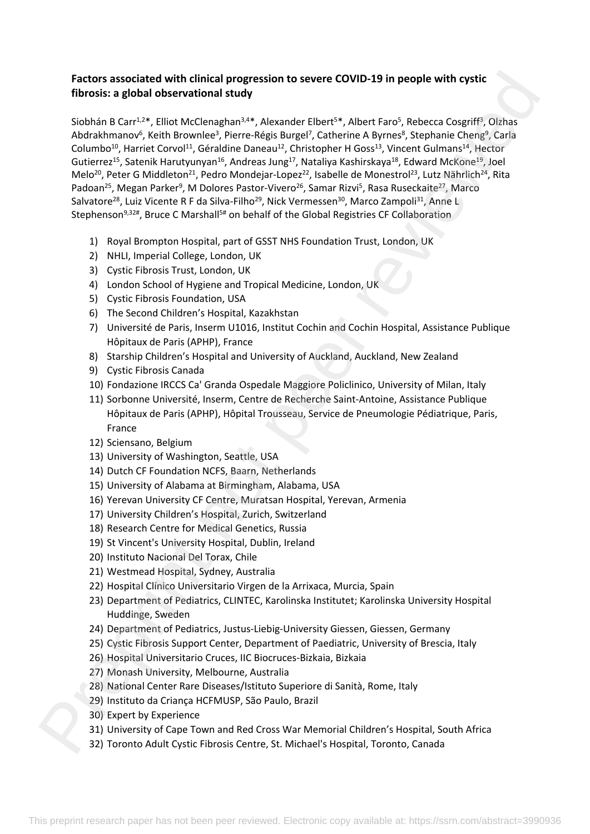# **Factors associated with clinical progression to severe COVID-19 in people with cystic fibrosis: a global observational study**

Siobhán B Carr<sup>1,2\*</sup>, Elliot McClenaghan<sup>3,4\*</sup>, Alexander Elbert<sup>5\*</sup>, Albert Faro<sup>5</sup>, Rebecca Cosgriff<sup>3</sup>, Olzhas Abdrakhmanov<sup>6</sup>, Keith Brownlee<sup>3</sup>, Pierre-Régis Burgel<sup>7</sup>, Catherine A Byrnes<sup>8</sup>, Stephanie Cheng<sup>9</sup>, Carla Columbo<sup>10</sup>, Harriet Corvol<sup>11</sup>, Géraldine Daneau<sup>12</sup>, Christopher H Goss<sup>13</sup>, Vincent Gulmans<sup>14</sup>, Hector Gutierrez<sup>15</sup>, Satenik Harutyunyan<sup>16</sup>, Andreas Jung<sup>17</sup>, Nataliya Kashirskaya<sup>18</sup>, Edward McKone<sup>19</sup>, Joel Melo<sup>20</sup>, Peter G Middleton<sup>21</sup>, Pedro Mondejar-Lopez<sup>22</sup>, Isabelle de Monestrol<sup>23</sup>, Lutz Nährlich<sup>24</sup>, Rita Padoan<sup>25</sup>, Megan Parker<sup>9</sup>, M Dolores Pastor-Vivero<sup>26</sup>, Samar Rizvi<sup>5</sup>, Rasa Ruseckaite<sup>27</sup>, Marco Salvatore<sup>28</sup>, Luiz Vicente R F da Silva-Filho<sup>29</sup>, Nick Vermessen<sup>30</sup>, Marco Zampoli<sup>31</sup>, Anne L Stephenson<sup>9,32#</sup>, Bruce C Marshall<sup>5#</sup> on behalf of the Global Registries CF Collaboration Factor associated with clinical progression to severe COVID-19 in people with cystic<br>Rhonda is a graphite line of the control of the cycle and the series and the series of control of the series of the cycle of the cycle o

- 1) Royal Brompton Hospital, part of GSST NHS Foundation Trust, London, UK
- 2) NHLI, Imperial College, London, UK
- 3) Cystic Fibrosis Trust, London, UK
- 4) London School of Hygiene and Tropical Medicine, London, UK
- 5) Cystic Fibrosis Foundation, USA
- 6) The Second Children's Hospital, Kazakhstan
- 7) Université de Paris, Inserm U1016, Institut Cochin and Cochin Hospital, Assistance Publique Hôpitaux de Paris (APHP), France
- 8) Starship Children's Hospital and University of Auckland, Auckland, New Zealand
- 9) Cystic Fibrosis Canada
- 10) Fondazione IRCCS Ca' Granda Ospedale Maggiore Policlinico, University of Milan, Italy
- 11) Sorbonne Université, Inserm, Centre de Recherche Saint-Antoine, Assistance Publique Hôpitaux de Paris (APHP), Hôpital Trousseau, Service de Pneumologie Pédiatrique, Paris, France
- 12) Sciensano, Belgium
- 13) University of Washington, Seattle, USA
- 14) Dutch CF Foundation NCFS, Baarn, Netherlands
- 15) University of Alabama at Birmingham, Alabama, USA
- 16) Yerevan University CF Centre, Muratsan Hospital, Yerevan, Armenia
- 17) University Children's Hospital, Zurich, Switzerland
- 18) Research Centre for Medical Genetics, Russia
- 19) St Vincent's University Hospital, Dublin, Ireland
- 20) Instituto Nacional Del Torax, Chile
- 21) Westmead Hospital, Sydney, Australia
- 22) Hospital Clínico Universitario Virgen de la Arrixaca, Murcia, Spain
- 23) Department of Pediatrics, CLINTEC, Karolinska Institutet; Karolinska University Hospital Huddinge, Sweden
- 24) Department of Pediatrics, Justus-Liebig-University Giessen, Giessen, Germany
- 25) Cystic Fibrosis Support Center, Department of Paediatric, University of Brescia, Italy
- 26) Hospital Universitario Cruces, IIC Biocruces-Bizkaia, Bizkaia
- 27) Monash University, Melbourne, Australia
- 28) National Center Rare Diseases/Istituto Superiore di Sanità, Rome, Italy
- 29) Instituto da Criança HCFMUSP, São Paulo, Brazil
- 30) Expert by Experience
- 31) University of Cape Town and Red Cross War Memorial Children's Hospital, South Africa
- 32) Toronto Adult Cystic Fibrosis Centre, St. Michael's Hospital, Toronto, Canada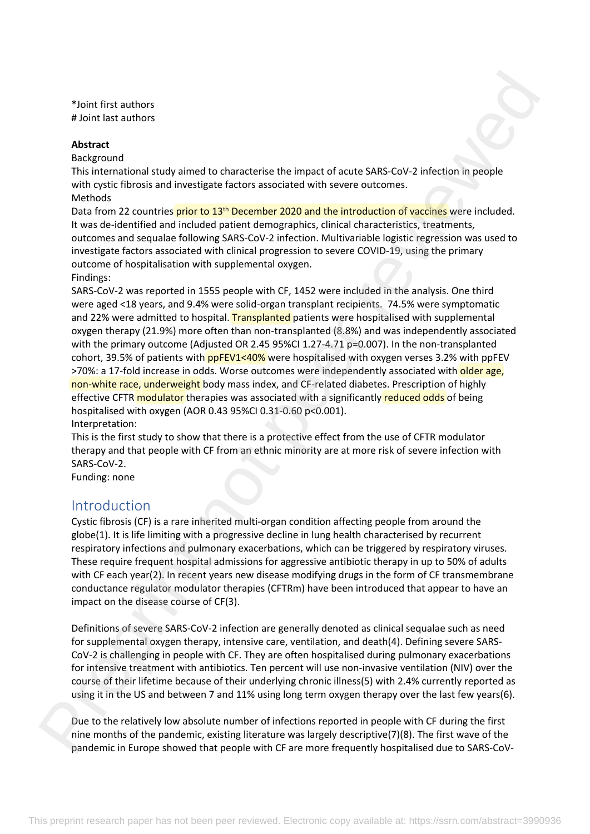\*Joint first authors # Joint last authors

#### **Abstract**

Background

This international study aimed to characterise the impact of acute SARS-CoV-2 infection in people with cystic fibrosis and investigate factors associated with severe outcomes. Methods

Data from 22 countries prior to 13<sup>th</sup> December 2020 and the introduction of vaccines were included. It was de-identified and included patient demographics, clinical characteristics, treatments, outcomes and sequalae following SARS-CoV-2 infection. Multivariable logistic regression was used to investigate factors associated with clinical progression to severe COVID-19, using the primary outcome of hospitalisation with supplemental oxygen.

Findings:

SARS-CoV-2 was reported in 1555 people with CF, 1452 were included in the analysis. One third were aged <18 years, and 9.4% were solid-organ transplant recipients. 74.5% were symptomatic and 22% were admitted to hospital. Transplanted patients were hospitalised with supplemental oxygen therapy (21.9%) more often than non-transplanted (8.8%) and was independently associated with the primary outcome (Adjusted OR 2.45 95%CI 1.27-4.71 p=0.007). In the non-transplanted cohort, 39.5% of patients with **ppFEV1<40%** were hospitalised with oxygen verses 3.2% with ppFEV >70%: a 17-fold increase in odds. Worse outcomes were independently associated with older age, non-white race, underweight body mass index, and CF-related diabetes. Prescription of highly effective CFTR modulator therapies was associated with a significantly reduced odds of being hospitalised with oxygen (AOR 0.43 95%CI 0.31-0.60 p<0.001). Interpretation: Visit first authors<br>
a figure first authors<br>
a figure first authors<br>
Absorptioned<br>
This figure authors and investigate factors associates with severe outcomes.<br>
Navignous of<br>
have formed to consider a figure in the consid

This is the first study to show that there is a protective effect from the use of CFTR modulator therapy and that people with CF from an ethnic minority are at more risk of severe infection with SARS-CoV-2.

Funding: none

# Introduction

Cystic fibrosis (CF) is a rare inherited multi-organ condition affecting people from around the globe(1). It is life limiting with a progressive decline in lung health characterised by recurrent respiratory infections and pulmonary exacerbations, which can be triggered by respiratory viruses. These require frequent hospital admissions for aggressive antibiotic therapy in up to 50% of adults with CF each year(2). In recent years new disease modifying drugs in the form of CF transmembrane conductance regulator modulator therapies (CFTRm) have been introduced that appear to have an impact on the disease course of CF(3).

Definitions of severe SARS-CoV-2 infection are generally denoted as clinical sequalae such as need for supplemental oxygen therapy, intensive care, ventilation, and death(4). Defining severe SARS-CoV-2 is challenging in people with CF. They are often hospitalised during pulmonary exacerbations for intensive treatment with antibiotics. Ten percent will use non-invasive ventilation (NIV) over the course of their lifetime because of their underlying chronic illness(5) with 2.4% currently reported as using it in the US and between 7 and 11% using long term oxygen therapy over the last few years(6).

Due to the relatively low absolute number of infections reported in people with CF during the first nine months of the pandemic, existing literature was largely descriptive(7)(8). The first wave of the pandemic in Europe showed that people with CF are more frequently hospitalised due to SARS-CoV-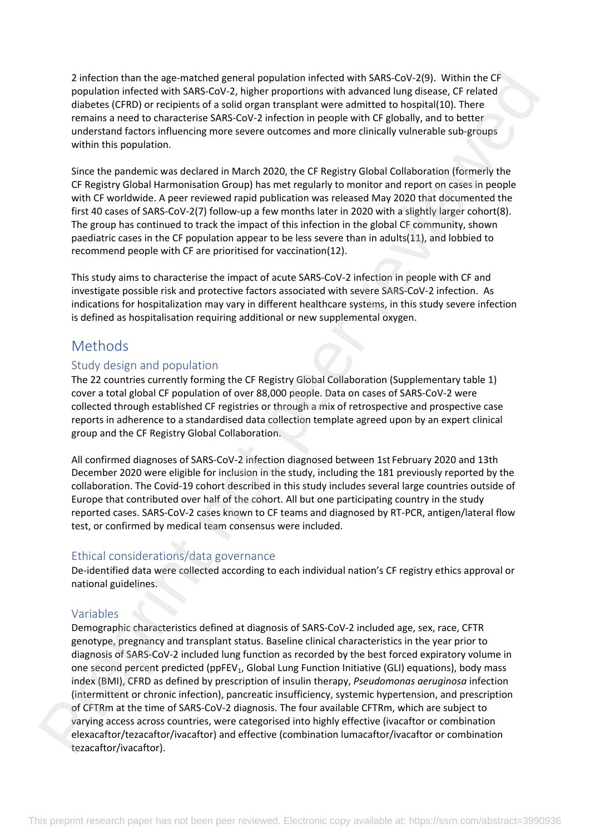2 infection than the age-matched general population infected with SARS-CoV-2(9). Within the CF population infected with SARS-CoV-2, higher proportions with advanced lung disease, CF related diabetes (CFRD) or recipients of a solid organ transplant were admitted to hospital(10). There remains a need to characterise SARS-CoV-2 infection in people with CF globally, and to better understand factors influencing more severe outcomes and more clinically vulnerable sub-groups within this population.

Since the pandemic was declared in March 2020, the CF Registry Global Collaboration (formerly the CF Registry Global Harmonisation Group) has met regularly to monitor and report on cases in people with CF worldwide. A peer reviewed rapid publication was released May 2020 that documented the first 40 cases of SARS-CoV-2(7) follow-up a few months later in 2020 with a slightly larger cohort(8). The group has continued to track the impact of this infection in the global CF community, shown paediatric cases in the CF population appear to be less severe than in adults(11), and lobbied to recommend people with CF are prioritised for vaccination(12).

This study aims to characterise the impact of acute SARS-CoV-2 infection in people with CF and investigate possible risk and protective factors associated with severe SARS-CoV-2 infection. As indications for hospitalization may vary in different healthcare systems, in this study severe infection is defined as hospitalisation requiring additional or new supplemental oxygen.

# Methods

## Study design and population

The 22 countries currently forming the CF Registry Global Collaboration (Supplementary table 1) cover a total global CF population of over 88,000 people. Data on cases of SARS-CoV-2 were collected through established CF registries or through a mix of retrospective and prospective case reports in adherence to a standardised data collection template agreed upon by an expert clinical group and the CF Registry Global Collaboration.

All confirmed diagnoses of SARS-CoV-2 infection diagnosed between 1st February 2020 and 13th December 2020 were eligible for inclusion in the study, including the 181 previously reported by the collaboration. The Covid-19 cohort described in this study includes several large countries outside of Europe that contributed over half of the cohort. All but one participating country in the study reported cases. SARS-CoV-2 cases known to CF teams and diagnosed by RT-PCR, antigen/lateral flow test, or confirmed by medical team consensus were included.

## Ethical considerations/data governance

De-identified data were collected according to each individual nation's CF registry ethics approval or national guidelines.

## Variables

Demographic characteristics defined at diagnosis of SARS-CoV-2 included age, sex, race, CFTR genotype, pregnancy and transplant status. Baseline clinical characteristics in the year prior to diagnosis of SARS-CoV-2 included lung function as recorded by the best forced expiratory volume in one second percent predicted (ppFEV<sub>1</sub>, Global Lung Function Initiative (GLI) equations), body mass index (BMI), CFRD as defined by prescription of insulin therapy, *Pseudomonas aeruginosa* infection (intermittent or chronic infection), pancreatic insufficiency, systemic hypertension, and prescription of CFTRm at the time of SARS-CoV-2 diagnosis. The four available CFTRm, which are subject to varying access across countries, were categorised into highly effective (ivacaftor or combination elexacaftor/tezacaftor/ivacaftor) and effective (combination lumacaftor/ivacaftor or combination tezacaftor/ivacaftor). 2 interiors than the age matched general population riected with SMS-Cov22D (within the Counterparticular control interiors). The control is the control interior interior interior is the control interior ( $\theta$ ) and the co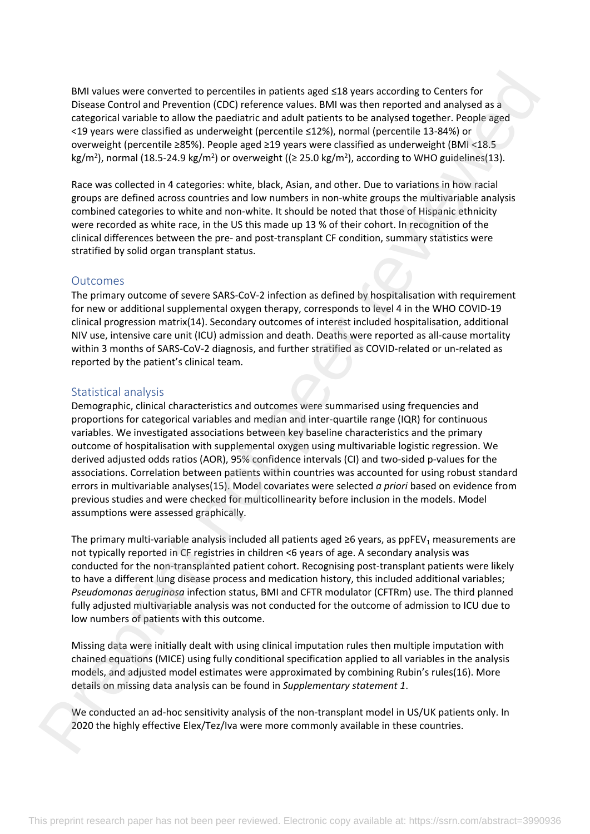BMI values were converted to percentiles in patients aged ≤18 years according to Centers for Disease Control and Prevention (CDC) reference values. BMI was then reported and analysed as a categorical variable to allow the paediatric and adult patients to be analysed together. People aged <19 years were classified as underweight (percentile ≤12%), normal (percentile 13-84%) or overweight (percentile ≥85%). People aged ≥19 years were classified as underweight (BMI <18.5 kg/m<sup>2</sup>), normal (18.5-24.9 kg/m<sup>2</sup>) or overweight (( $\geq$  25.0 kg/m<sup>2</sup>), according to WHO guidelines(13).

Race was collected in 4 categories: white, black, Asian, and other. Due to variations in how racial groups are defined across countries and low numbers in non-white groups the multivariable analysis combined categories to white and non-white. It should be noted that those of Hispanic ethnicity were recorded as white race, in the US this made up 13 % of their cohort. In recognition of the clinical differences between the pre- and post-transplant CF condition, summary statistics were stratified by solid organ transplant status.

## **Outcomes**

The primary outcome of severe SARS-CoV-2 infection as defined by hospitalisation with requirement for new or additional supplemental oxygen therapy, corresponds to level 4 in the WHO COVID-19 clinical progression matrix(14). Secondary outcomes of interest included hospitalisation, additional NIV use, intensive care unit (ICU) admission and death. Deaths were reported as all-cause mortality within 3 months of SARS-CoV-2 diagnosis, and further stratified as COVID-related or un-related as reported by the patient's clinical team.

## Statistical analysis

Demographic, clinical characteristics and outcomes were summarised using frequencies and proportions for categorical variables and median and inter-quartile range (IQR) for continuous variables. We investigated associations between key baseline characteristics and the primary outcome of hospitalisation with supplemental oxygen using multivariable logistic regression. We derived adjusted odds ratios (AOR), 95% confidence intervals (CI) and two-sided p-values for the associations. Correlation between patients within countries was accounted for using robust standard errors in multivariable analyses(15). Model covariates were selected *a priori* based on evidence from previous studies and were checked for multicollinearity before inclusion in the models. Model assumptions were assessed graphically. RM values were converted to percentiles in patients aged <88 years according to Centers for Disagre Converted and analyzed and analyzed and analyzed as Comparison control and analyzed and analyzed angular methods of Presen

The primary multi-variable analysis included all patients aged  $\geq 6$  years, as ppFEV<sub>1</sub> measurements are not typically reported in CF registries in children <6 years of age. A secondary analysis was conducted for the non-transplanted patient cohort. Recognising post-transplant patients were likely to have a different lung disease process and medication history, this included additional variables; *Pseudomonas aeruginosa* infection status, BMI and CFTR modulator (CFTRm) use. The third planned fully adjusted multivariable analysis was not conducted for the outcome of admission to ICU due to low numbers of patients with this outcome.

Missing data were initially dealt with using clinical imputation rules then multiple imputation with chained equations (MICE) using fully conditional specification applied to all variables in the analysis models, and adjusted model estimates were approximated by combining Rubin's rules(16). More details on missing data analysis can be found in *Supplementary statement 1*.

We conducted an ad-hoc sensitivity analysis of the non-transplant model in US/UK patients only. In 2020 the highly effective Elex/Tez/Iva were more commonly available in these countries.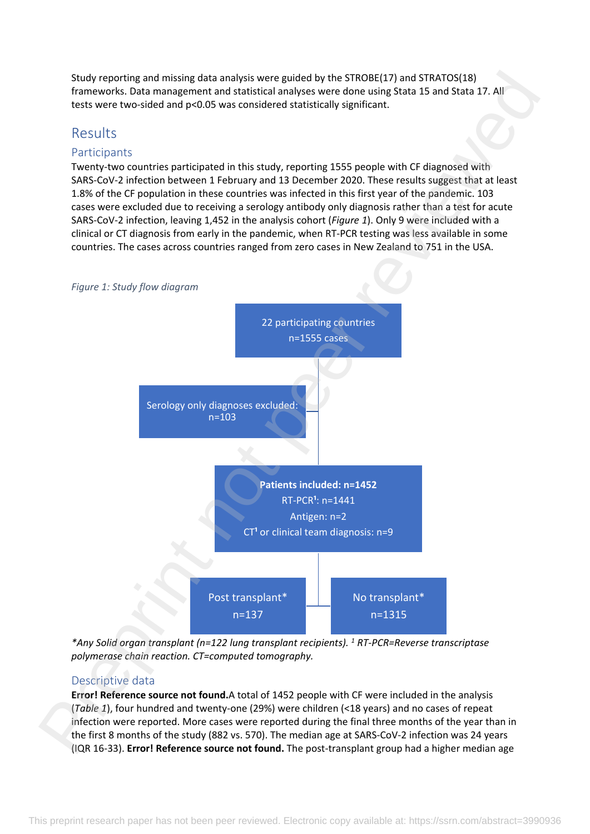Study reporting and missing data analysis were guided by the STROBE(17) and STRATOS(18) frameworks. Data management and statistical analyses were done using Stata 15 and Stata 17. All tests were two-sided and p<0.05 was considered statistically significant.

# Results

## Participants

Twenty-two countries participated in this study, reporting 1555 people with CF diagnosed with SARS-CoV-2 infection between 1 February and 13 December 2020. These results suggest that at least 1.8% of the CF population in these countries was infected in this first year of the pandemic. 103 cases were excluded due to receiving a serology antibody only diagnosis rather than a test for acute SARS-CoV-2 infection, leaving 1,452 in the analysis cohort (*Figure 1*). Only 9 were included with a clinical or CT diagnosis from early in the pandemic, when RT-PCR testing was less available in some countries. The cases across countries ranged from zero cases in New Zealand to 751 in the USA.



*\*Any Solid organ transplant (n=122 lung transplant recipients). <sup>1</sup> RT-PCR=Reverse transcriptase polymerase chain reaction. CT=computed tomography.*

## Descriptive data

**Error! Reference source not found.**A total of 1452 people with CF were included in the analysis (*Table 1*), four hundred and twenty-one (29%) were children (<18 years) and no cases of repeat infection were reported. More cases were reported during the final three months of the year than in the first 8 months of the study (882 vs. 570). The median age at SARS-CoV-2 infection was 24 years (IQR 16-33). **Error! Reference source not found.** The post-transplant group had a higher median age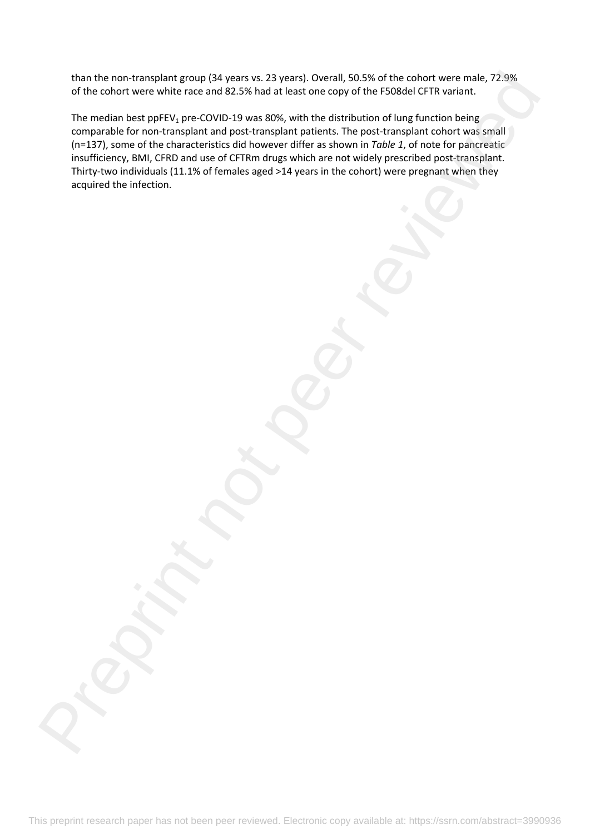than the non-transplant group (34 years vs. 23 years). Overall, 50.5% of the cohort were male, 72.9% of the cohort were white race and 82.5% had at least one copy of the F508del CFTR variant.

The median best ppFEV<sub>1</sub> pre-COVID-19 was 80%, with the distribution of lung function being comparable for non-transplant and post-transplant patients. The post-transplant cohort was small (n=137), some of the characteristics did however differ as shown in *Table 1*, of note for pancreatic insufficiency, BMI, CFRD and use of CFTRm drugs which are not widely prescribed post-transplant. Thirty-two individuals (11.1% of females aged >14 years in the cohort) were pregnant when they acquired the infection. than the not-zaranginet group (24) years in 2.29 years). Overall, 93.35 of the colored vertex multiple, 72.29%<br>The received best peer control 32-75 had at least one copy of the ChOReN CFTR variant.<br>The received best peer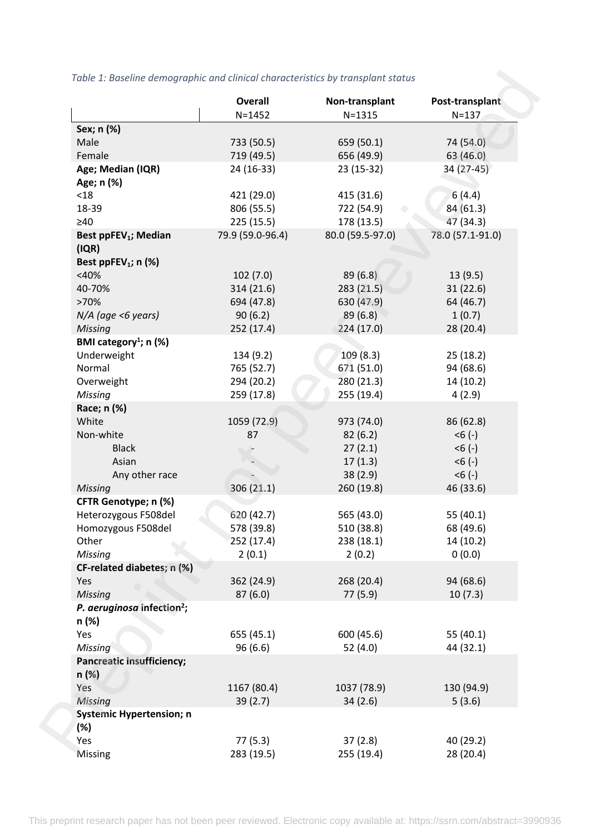|                                        | <b>Overall</b><br>$N = 1452$ | Non-transplant<br>$N = 1315$ | Post-transplant<br>$N = 137$ |
|----------------------------------------|------------------------------|------------------------------|------------------------------|
| Sex; n (%)                             |                              |                              |                              |
| Male                                   | 733 (50.5)                   | 659 (50.1)                   | 74 (54.0)                    |
| Female                                 | 719 (49.5)                   | 656 (49.9)                   | 63(46.0)                     |
| Age; Median (IQR)                      | 24 (16-33)                   | 23 (15-32)                   | 34 (27-45)                   |
| Age; n (%)                             |                              |                              |                              |
| $<18$                                  | 421 (29.0)                   | 415 (31.6)                   | 6(4.4)                       |
| 18-39                                  | 806 (55.5)                   | 722 (54.9)                   | 84(61.3)                     |
| $\geq 40$                              | 225(15.5)                    | 178 (13.5)                   | 47 (34.3)                    |
| Best ppFEV <sub>1</sub> ; Median       | 79.9 (59.0-96.4)             | 80.0 (59.5-97.0)             | 78.0 (57.1-91.0)             |
| (IQR)                                  |                              |                              |                              |
| Best ppFEV <sub>1</sub> ; $n$ (%)      |                              |                              |                              |
| $<$ 40%                                | 102(7.0)                     | 89(6.8)                      | 13(9.5)                      |
| 40-70%                                 | 314 (21.6)                   | 283(21.5)                    | 31(22.6)                     |
| >70%                                   | 694 (47.8)                   | 630 (47.9)                   | 64 (46.7)                    |
| N/A (age <6 years)                     | 90(6.2)                      | 89(6.8)                      | 1(0.7)                       |
| Missing                                | 252 (17.4)                   | 224(17.0)                    | 28 (20.4)                    |
| BMI category <sup>1</sup> ; n (%)      |                              |                              |                              |
| Underweight                            | 134 (9.2)                    | 109(8.3)                     | 25(18.2)                     |
| Normal                                 | 765 (52.7)                   | 671 (51.0)                   | 94 (68.6)                    |
| Overweight                             | 294 (20.2)                   | 280 (21.3)                   | 14(10.2)                     |
| Missing                                | 259 (17.8)                   | 255 (19.4)                   | 4(2.9)                       |
|                                        |                              |                              |                              |
| Race; n (%)                            |                              |                              |                              |
| White                                  | 1059 (72.9)                  | 973 (74.0)                   | 86 (62.8)                    |
| Non-white                              | 87                           | 82(6.2)                      | $< 6 (-)$                    |
| <b>Black</b>                           |                              | 27(2.1)                      | $< 6 (-)$                    |
| Asian                                  |                              | 17(1.3)                      | $< 6 (-)$                    |
| Any other race                         |                              | 38(2.9)                      | $< 6 (-)$                    |
| <b>Missing</b>                         | 306(21.1)                    | 260 (19.8)                   | 46 (33.6)                    |
| CFTR Genotype; n (%)                   |                              |                              |                              |
| Heterozygous F508del                   | 620 (42.7)                   | 565 (43.0)                   | 55 (40.1)                    |
| Homozygous F508del                     | 578 (39.8)                   | 510 (38.8)                   | 68 (49.6)                    |
| Other                                  | 252 (17.4)                   | 238 (18.1)                   | 14 (10.2)                    |
| Missing                                | 2(0.1)                       | 2(0.2)                       | 0(0.0)                       |
| CF-related diabetes; n (%)             |                              |                              |                              |
| Yes                                    | 362 (24.9)                   | 268 (20.4)                   | 94 (68.6)                    |
| Missing                                | 87(6.0)                      | 77 (5.9)                     | 10(7.3)                      |
| P. aeruginosa infection <sup>2</sup> ; |                              |                              |                              |
| n (%)                                  |                              |                              |                              |
| Yes                                    | 655 (45.1)                   | 600 (45.6)                   | 55 $(40.1)$                  |
| Missing                                | 96 (6.6)                     | 52(4.0)                      | 44 (32.1)                    |
| <b>Pancreatic insufficiency;</b>       |                              |                              |                              |
| n(%)                                   |                              |                              |                              |
| Yes                                    | 1167 (80.4)                  | 1037 (78.9)                  | 130 (94.9)                   |
| <b>Missing</b>                         | 39(2.7)                      | 34(2.6)                      | 5(3.6)                       |
| <b>Systemic Hypertension; n</b>        |                              |                              |                              |
| (%)                                    |                              |                              |                              |
| Yes                                    | 77(5.3)                      | 37(2.8)                      | 40 (29.2)                    |
| Missing                                | 283 (19.5)                   | 255 (19.4)                   | 28 (20.4)                    |

# *Table 1: Baseline demographic and clinical characteristics by transplant status*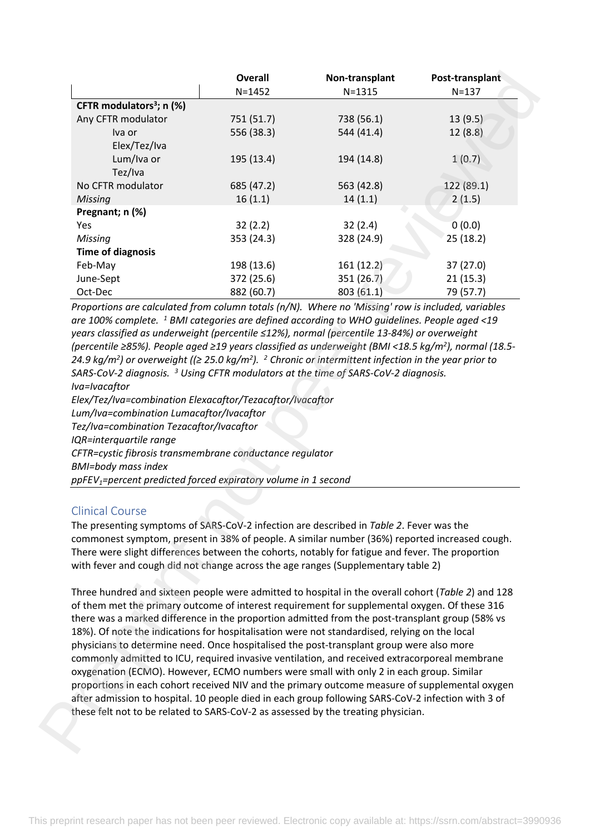| CFTR modulators <sup>3</sup> ; n (%)                                                                                                                                                                                                                                                                                                                                                                                                                                                                                                                                                                                      |            | Non-transplant                                                                                | Post-transplant |
|---------------------------------------------------------------------------------------------------------------------------------------------------------------------------------------------------------------------------------------------------------------------------------------------------------------------------------------------------------------------------------------------------------------------------------------------------------------------------------------------------------------------------------------------------------------------------------------------------------------------------|------------|-----------------------------------------------------------------------------------------------|-----------------|
|                                                                                                                                                                                                                                                                                                                                                                                                                                                                                                                                                                                                                           | $N = 1452$ | $N = 1315$                                                                                    | $N = 137$       |
|                                                                                                                                                                                                                                                                                                                                                                                                                                                                                                                                                                                                                           |            |                                                                                               |                 |
| Any CFTR modulator                                                                                                                                                                                                                                                                                                                                                                                                                                                                                                                                                                                                        | 751 (51.7) | 738 (56.1)                                                                                    | 13(9.5)         |
| Iva or                                                                                                                                                                                                                                                                                                                                                                                                                                                                                                                                                                                                                    | 556 (38.3) | 544 (41.4)                                                                                    | 12(8.8)         |
| Elex/Tez/Iva                                                                                                                                                                                                                                                                                                                                                                                                                                                                                                                                                                                                              |            |                                                                                               |                 |
| Lum/Iva or                                                                                                                                                                                                                                                                                                                                                                                                                                                                                                                                                                                                                | 195 (13.4) | 194 (14.8)                                                                                    | 1(0.7)          |
| Tez/Iva                                                                                                                                                                                                                                                                                                                                                                                                                                                                                                                                                                                                                   |            |                                                                                               |                 |
| No CFTR modulator                                                                                                                                                                                                                                                                                                                                                                                                                                                                                                                                                                                                         | 685 (47.2) | 563 (42.8)                                                                                    | 122 (89.1)      |
| Missing                                                                                                                                                                                                                                                                                                                                                                                                                                                                                                                                                                                                                   | 16(1.1)    | 14(1.1)                                                                                       | 2(1.5)          |
| Pregnant; n (%)                                                                                                                                                                                                                                                                                                                                                                                                                                                                                                                                                                                                           |            |                                                                                               |                 |
| Yes                                                                                                                                                                                                                                                                                                                                                                                                                                                                                                                                                                                                                       | 32(2.2)    | 32(2.4)                                                                                       | 0(0.0)          |
| Missing                                                                                                                                                                                                                                                                                                                                                                                                                                                                                                                                                                                                                   | 353 (24.3) | 328 (24.9)                                                                                    | 25(18.2)        |
| <b>Time of diagnosis</b>                                                                                                                                                                                                                                                                                                                                                                                                                                                                                                                                                                                                  |            |                                                                                               |                 |
|                                                                                                                                                                                                                                                                                                                                                                                                                                                                                                                                                                                                                           |            |                                                                                               |                 |
| Feb-May                                                                                                                                                                                                                                                                                                                                                                                                                                                                                                                                                                                                                   | 198 (13.6) | 161 (12.2)                                                                                    | 37(27.0)        |
| June-Sept                                                                                                                                                                                                                                                                                                                                                                                                                                                                                                                                                                                                                 | 372 (25.6) | 351 (26.7)                                                                                    | 21(15.3)        |
| Oct-Dec<br>Proportions are calculated from column totals (n/N). Where no 'Missing' row is included, variables                                                                                                                                                                                                                                                                                                                                                                                                                                                                                                             | 882 (60.7) | 803 (61.1)                                                                                    | 79 (57.7)       |
|                                                                                                                                                                                                                                                                                                                                                                                                                                                                                                                                                                                                                           |            | SARS-CoV-2 diagnosis. <sup>3</sup> Using CFTR modulators at the time of SARS-CoV-2 diagnosis. |                 |
|                                                                                                                                                                                                                                                                                                                                                                                                                                                                                                                                                                                                                           |            |                                                                                               |                 |
|                                                                                                                                                                                                                                                                                                                                                                                                                                                                                                                                                                                                                           |            |                                                                                               |                 |
| <b>Clinical Course</b>                                                                                                                                                                                                                                                                                                                                                                                                                                                                                                                                                                                                    |            |                                                                                               |                 |
|                                                                                                                                                                                                                                                                                                                                                                                                                                                                                                                                                                                                                           |            |                                                                                               |                 |
| Tez/Iva=combination Tezacaftor/Ivacaftor                                                                                                                                                                                                                                                                                                                                                                                                                                                                                                                                                                                  |            |                                                                                               |                 |
|                                                                                                                                                                                                                                                                                                                                                                                                                                                                                                                                                                                                                           |            |                                                                                               |                 |
| Iva=Ivacaftor<br>Elex/Tez/Iva=combination Elexacaftor/Tezacaftor/Ivacaftor<br>Lum/Iva=combination Lumacaftor/Ivacaftor<br>IQR=interquartile range<br>CFTR=cystic fibrosis transmembrane conductance regulator<br><b>BMI=body mass index</b><br>ppFEV <sub>1</sub> =percent predicted forced expiratory volume in 1 second<br>The presenting symptoms of SARS-CoV-2 infection are described in Table 2. Fever was the<br>commonest symptom, present in 38% of people. A similar number (36%) reported increased cough.<br>There were slight differences between the cohorts, notably for fatigue and fever. The proportion |            |                                                                                               |                 |
| with fever and cough did not change across the age ranges (Supplementary table 2)                                                                                                                                                                                                                                                                                                                                                                                                                                                                                                                                         |            |                                                                                               |                 |

## Clinical Course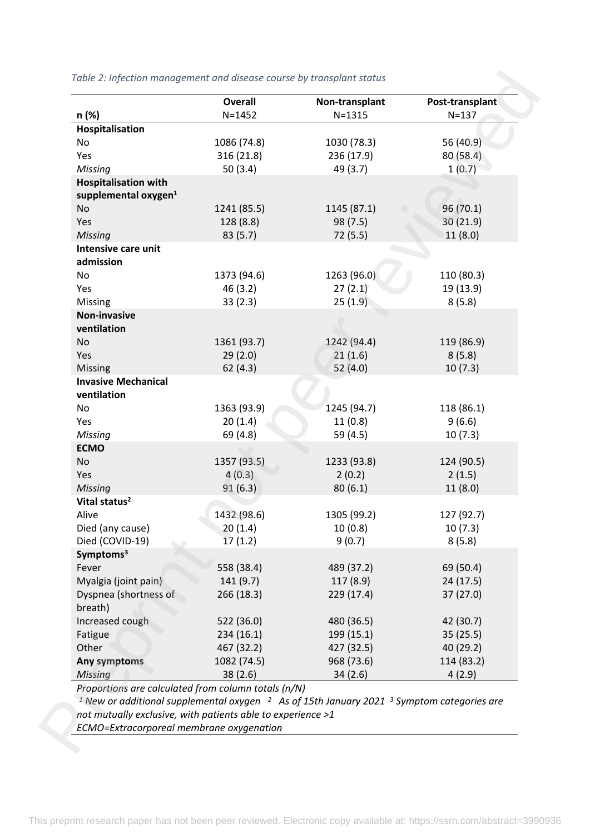| n (%)<br>Hospitalisation<br>No<br>Yes<br>Missing                                                                                                                                                                                                    | $N = 1452$<br>1086 (74.8) | $N = 1315$  | $N = 137$  |
|-----------------------------------------------------------------------------------------------------------------------------------------------------------------------------------------------------------------------------------------------------|---------------------------|-------------|------------|
|                                                                                                                                                                                                                                                     |                           |             |            |
|                                                                                                                                                                                                                                                     |                           | 1030 (78.3) | 56 (40.9)  |
|                                                                                                                                                                                                                                                     | 316 (21.8)                | 236 (17.9)  | 80(58.4)   |
|                                                                                                                                                                                                                                                     | 50(3.4)                   | 49 (3.7)    | 1(0.7)     |
| <b>Hospitalisation with</b>                                                                                                                                                                                                                         |                           |             |            |
| supplemental oxygen <sup>1</sup>                                                                                                                                                                                                                    |                           |             |            |
| No                                                                                                                                                                                                                                                  | 1241 (85.5)               | 1145 (87.1) | 96(70.1)   |
| Yes                                                                                                                                                                                                                                                 | 128 (8.8)                 | 98 (7.5)    | 30 (21.9)  |
| <b>Missing</b>                                                                                                                                                                                                                                      | 83 (5.7)                  | 72 (5.5)    | 11(8.0)    |
| Intensive care unit<br>admission                                                                                                                                                                                                                    |                           |             |            |
| No                                                                                                                                                                                                                                                  | 1373 (94.6)               | 1263 (96.0) | 110 (80.3) |
| Yes                                                                                                                                                                                                                                                 | 46 (3.2)                  | 27(2.1)     | 19 (13.9)  |
| Missing                                                                                                                                                                                                                                             | 33(2.3)                   | 25(1.9)     | 8(5.8)     |
| Non-invasive                                                                                                                                                                                                                                        |                           |             |            |
| ventilation                                                                                                                                                                                                                                         |                           |             |            |
| No                                                                                                                                                                                                                                                  | 1361 (93.7)               | 1242 (94.4) | 119 (86.9) |
| Yes                                                                                                                                                                                                                                                 | 29(2.0)                   | 21(1.6)     | 8(5.8)     |
| Missing                                                                                                                                                                                                                                             | 62(4.3)                   | 52(4.0)     | 10(7.3)    |
| <b>Invasive Mechanical</b>                                                                                                                                                                                                                          |                           |             |            |
| ventilation                                                                                                                                                                                                                                         |                           |             |            |
| No                                                                                                                                                                                                                                                  | 1363 (93.9)               | 1245 (94.7) | 118 (86.1) |
| Yes                                                                                                                                                                                                                                                 | 20(1.4)                   | 11(0.8)     | 9(6.6)     |
| Missing                                                                                                                                                                                                                                             | 69 (4.8)                  | 59 (4.5)    | 10(7.3)    |
| <b>ECMO</b>                                                                                                                                                                                                                                         |                           |             |            |
| No                                                                                                                                                                                                                                                  | 1357 (93.5)               | 1233 (93.8) | 124 (90.5) |
| Yes                                                                                                                                                                                                                                                 | 4(0.3)                    | 2(0.2)      | 2(1.5)     |
| Missing                                                                                                                                                                                                                                             | 91(6.3)                   | 80(6.1)     | 11(8.0)    |
| Vital status <sup>2</sup>                                                                                                                                                                                                                           |                           |             |            |
| Alive                                                                                                                                                                                                                                               | 1432 (98.6)               | 1305 (99.2) | 127 (92.7) |
| Died (any cause)                                                                                                                                                                                                                                    | 20(1.4)                   | 10(0.8)     | 10(7.3)    |
| Died (COVID-19)                                                                                                                                                                                                                                     | 17(1.2)                   | 9(0.7)      | 8(5.8)     |
| Symptoms <sup>3</sup>                                                                                                                                                                                                                               |                           |             |            |
| Fever                                                                                                                                                                                                                                               | 558 (38.4)                | 489 (37.2)  | 69 (50.4)  |
| Myalgia (joint pain)                                                                                                                                                                                                                                | 141(9.7)                  | 117(8.9)    | 24(17.5)   |
| Dyspnea (shortness of<br>breath)                                                                                                                                                                                                                    | 266 (18.3)                | 229 (17.4)  | 37(27.0)   |
| Increased cough                                                                                                                                                                                                                                     | 522 (36.0)                | 480 (36.5)  | 42 (30.7)  |
| Fatigue                                                                                                                                                                                                                                             | 234(16.1)                 | 199 (15.1)  | 35(25.5)   |
| Other                                                                                                                                                                                                                                               | 467 (32.2)                | 427 (32.5)  | 40 (29.2)  |
| Any symptoms                                                                                                                                                                                                                                        | 1082 (74.5)               | 968 (73.6)  | 114 (83.2) |
| <b>Missing</b>                                                                                                                                                                                                                                      | 38(2.6)                   | 34(2.6)     | 4(2.9)     |
| Proportions are calculated from column totals (n/N)<br><sup>1</sup> New or additional supplemental oxygen $\frac{2}{1}$ As of 15th January 2021 $\frac{3}{1}$ Symptom categories are<br>not mutually exclusive, with patients able to experience >1 |                           |             |            |

#### *Table 2: Infection management and disease course by transplant status*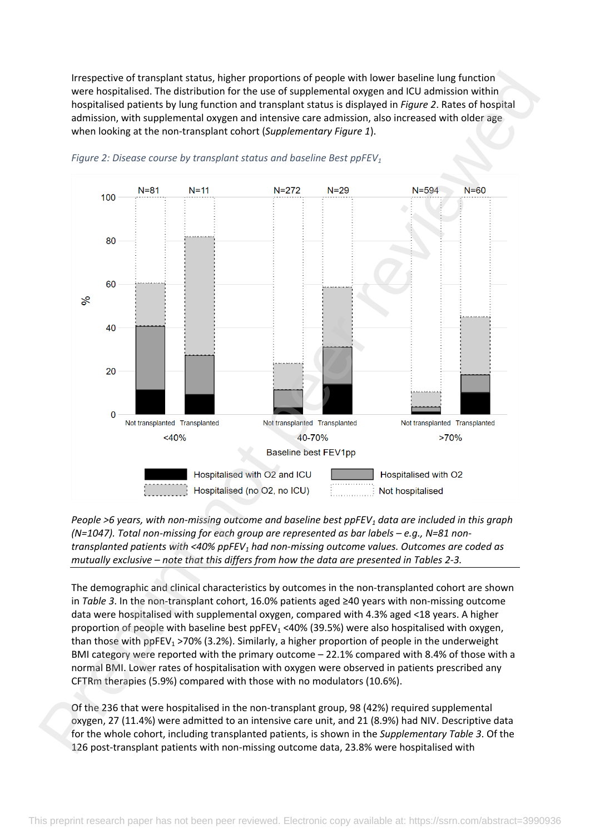Irrespective of transplant status, higher proportions of people with lower baseline lung function were hospitalised. The distribution for the use of supplemental oxygen and ICU admission within hospitalised patients by lung function and transplant status is displayed in *Figure 2*. Rates of hospital admission, with supplemental oxygen and intensive care admission, also increased with older age when looking at the non-transplant cohort (*Supplementary Figure 1*).



#### *Figure 2: Disease course by transplant status and baseline Best ppFEV<sup>1</sup>*

*People >6 years, with non-missing outcome and baseline best ppFEV1 data are included in this graph (N=1047). Total non-missing for each group are represented as bar labels – e.g., N=81 nontransplanted patients with <40% ppFEV1 had non-missing outcome values. Outcomes are coded as mutually exclusive – note that this differs from how the data are presented in Tables 2-3.* 

The demographic and clinical characteristics by outcomes in the non-transplanted cohort are shown in *Table 3*. In the non-transplant cohort, 16.0% patients aged ≥40 years with non-missing outcome data were hospitalised with supplemental oxygen, compared with 4.3% aged <18 years. A higher proportion of people with baseline best ppFEV<sub>1</sub> <40% (39.5%) were also hospitalised with oxygen, than those with ppFEV<sub>1</sub> >70% (3.2%). Similarly, a higher proportion of people in the underweight BMI category were reported with the primary outcome – 22.1% compared with 8.4% of those with a normal BMI. Lower rates of hospitalisation with oxygen were observed in patients prescribed any CFTRm therapies (5.9%) compared with those with no modulators (10.6%).

Of the 236 that were hospitalised in the non-transplant group, 98 (42%) required supplemental oxygen, 27 (11.4%) were admitted to an intensive care unit, and 21 (8.9%) had NIV. Descriptive data for the whole cohort, including transplanted patients, is shown in the *Supplementary Table 3*. Of the 126 post-transplant patients with non-missing outcome data, 23.8% were hospitalised with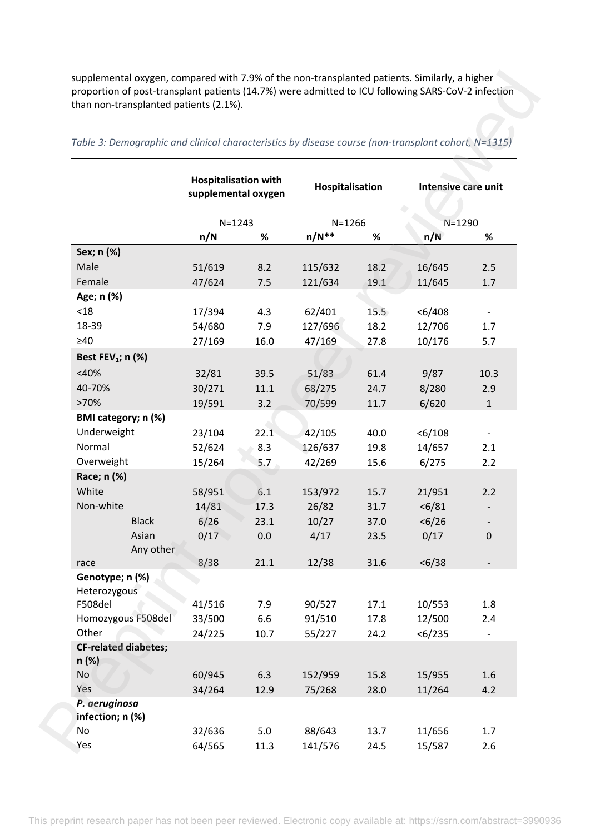| Table 3: Demographic and clinical characteristics by disease course (non-transplant cohort, N=1315) |              |                                                    |      |                 |      |                     |              |
|-----------------------------------------------------------------------------------------------------|--------------|----------------------------------------------------|------|-----------------|------|---------------------|--------------|
|                                                                                                     |              | <b>Hospitalisation with</b><br>supplemental oxygen |      | Hospitalisation |      | Intensive care unit |              |
|                                                                                                     |              | $N = 1243$                                         |      | $N = 1266$      |      | $N = 1290$          |              |
|                                                                                                     |              | n/N                                                | %    | $n/N**$         | %    | n/N                 | %            |
| Sex; n (%)                                                                                          |              |                                                    |      |                 |      |                     |              |
| Male                                                                                                |              | 51/619                                             | 8.2  | 115/632         | 18.2 | 16/645              | 2.5          |
| Female                                                                                              |              | 47/624                                             | 7.5  | 121/634         | 19.1 | 11/645              | 1.7          |
| Age; n (%)                                                                                          |              |                                                    |      |                 |      |                     |              |
| $<18$                                                                                               |              | 17/394                                             | 4.3  | 62/401          | 15.5 | < 6/408             |              |
| 18-39                                                                                               |              | 54/680                                             | 7.9  | 127/696         | 18.2 | 12/706              | 1.7          |
| $\geq 40$                                                                                           |              | 27/169                                             | 16.0 | 47/169          | 27.8 | 10/176              | 5.7          |
| Best FEV <sub>1</sub> ; $n$ (%)                                                                     |              |                                                    |      |                 |      |                     |              |
| $<$ 40%                                                                                             |              | 32/81                                              | 39.5 | 51/83           | 61.4 | 9/87                | 10.3         |
| 40-70%                                                                                              |              | 30/271                                             | 11.1 | 68/275          | 24.7 | 8/280               | 2.9          |
| >70%                                                                                                |              | 19/591                                             | 3.2  | 70/599          | 11.7 | 6/620               | $\mathbf{1}$ |
| BMI category; n (%)                                                                                 |              |                                                    |      |                 |      |                     |              |
| Underweight                                                                                         |              | 23/104                                             | 22.1 | 42/105          | 40.0 | $<$ 6/108           |              |
| Normal                                                                                              |              | 52/624                                             | 8.3  | 126/637         | 19.8 | 14/657              | 2.1          |
| Overweight                                                                                          |              | 15/264                                             | 5.7  | 42/269          | 15.6 | 6/275               | 2.2          |
| Race; n (%)                                                                                         |              |                                                    |      |                 |      |                     |              |
| White                                                                                               |              | 58/951                                             | 6.1  | 153/972         | 15.7 | 21/951              | 2.2          |
| Non-white                                                                                           |              | 14/81                                              | 17.3 | 26/82           | 31.7 | $6/81$              |              |
|                                                                                                     | <b>Black</b> | 6/26                                               | 23.1 | 10/27           | 37.0 | < 6/26              |              |
|                                                                                                     | Asian        | 0/17                                               | 0.0  | 4/17            | 23.5 | 0/17                | 0            |
|                                                                                                     | Any other    |                                                    |      |                 |      |                     |              |
| race                                                                                                |              | 8/38                                               | 21.1 | 12/38           | 31.6 | < 6/38              |              |
| Genotype; n (%)                                                                                     |              |                                                    |      |                 |      |                     |              |
| Heterozygous                                                                                        |              |                                                    |      |                 |      |                     |              |
| F508del                                                                                             |              | 41/516                                             | 7.9  | 90/527          | 17.1 | 10/553              | 1.8          |
| Homozygous F508del                                                                                  |              | 33/500                                             | 6.6  | 91/510          | 17.8 | 12/500              | 2.4          |
| Other                                                                                               |              | 24/225                                             | 10.7 | 55/227          | 24.2 | < 6/235             |              |
| <b>CF-related diabetes;</b><br>n(%)                                                                 |              |                                                    |      |                 |      |                     |              |
| No                                                                                                  |              | 60/945                                             | 6.3  | 152/959         | 15.8 | 15/955              | 1.6          |
| Yes                                                                                                 |              | 34/264                                             | 12.9 | 75/268          | 28.0 | 11/264              | 4.2          |
| P. aeruginosa                                                                                       |              |                                                    |      |                 |      |                     |              |
| infection; n (%)                                                                                    |              |                                                    |      |                 |      |                     |              |
| No                                                                                                  |              | 32/636                                             | 5.0  | 88/643          | 13.7 | 11/656              | 1.7          |
| Yes                                                                                                 |              | 64/565                                             | 11.3 | 141/576         | 24.5 | 15/587              | 2.6          |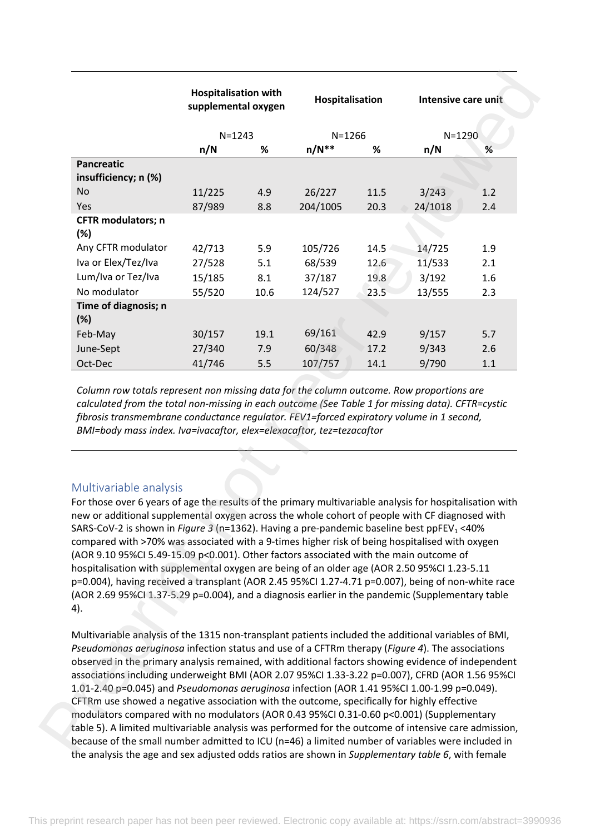|                                                                                                                                                                                                                                                                                                                                                                                                                                                                                                                                                                                                                                                                                                                                                                                                                                                            | supplemental oxygen | <b>Hospitalisation with</b> |            | Hospitalisation |                                                                                          | Intensive care unit |  |
|------------------------------------------------------------------------------------------------------------------------------------------------------------------------------------------------------------------------------------------------------------------------------------------------------------------------------------------------------------------------------------------------------------------------------------------------------------------------------------------------------------------------------------------------------------------------------------------------------------------------------------------------------------------------------------------------------------------------------------------------------------------------------------------------------------------------------------------------------------|---------------------|-----------------------------|------------|-----------------|------------------------------------------------------------------------------------------|---------------------|--|
|                                                                                                                                                                                                                                                                                                                                                                                                                                                                                                                                                                                                                                                                                                                                                                                                                                                            | $N = 1243$          |                             | $N = 1266$ |                 | $N = 1290$                                                                               |                     |  |
|                                                                                                                                                                                                                                                                                                                                                                                                                                                                                                                                                                                                                                                                                                                                                                                                                                                            | n/N                 | %                           | $n/N**$    | %               | n/N                                                                                      | %                   |  |
| <b>Pancreatic</b>                                                                                                                                                                                                                                                                                                                                                                                                                                                                                                                                                                                                                                                                                                                                                                                                                                          |                     |                             |            |                 |                                                                                          |                     |  |
| insufficiency; n (%)                                                                                                                                                                                                                                                                                                                                                                                                                                                                                                                                                                                                                                                                                                                                                                                                                                       |                     |                             |            |                 |                                                                                          |                     |  |
| <b>No</b>                                                                                                                                                                                                                                                                                                                                                                                                                                                                                                                                                                                                                                                                                                                                                                                                                                                  | 11/225              | 4.9                         | 26/227     | 11.5            | 3/243                                                                                    | 1.2                 |  |
| Yes                                                                                                                                                                                                                                                                                                                                                                                                                                                                                                                                                                                                                                                                                                                                                                                                                                                        | 87/989              | 8.8                         | 204/1005   | 20.3            | 24/1018                                                                                  | 2.4                 |  |
| <b>CFTR</b> modulators; n<br>(%)                                                                                                                                                                                                                                                                                                                                                                                                                                                                                                                                                                                                                                                                                                                                                                                                                           |                     |                             |            |                 |                                                                                          |                     |  |
| Any CFTR modulator                                                                                                                                                                                                                                                                                                                                                                                                                                                                                                                                                                                                                                                                                                                                                                                                                                         | 42/713              | 5.9                         | 105/726    | 14.5            | 14/725                                                                                   | 1.9                 |  |
| Iva or Elex/Tez/Iva                                                                                                                                                                                                                                                                                                                                                                                                                                                                                                                                                                                                                                                                                                                                                                                                                                        | 27/528              | 5.1                         | 68/539     | 12.6            | 11/533                                                                                   | 2.1                 |  |
| Lum/Iva or Tez/Iva                                                                                                                                                                                                                                                                                                                                                                                                                                                                                                                                                                                                                                                                                                                                                                                                                                         | 15/185              | 8.1                         | 37/187     | 19.8            | 3/192                                                                                    | 1.6                 |  |
| No modulator                                                                                                                                                                                                                                                                                                                                                                                                                                                                                                                                                                                                                                                                                                                                                                                                                                               | 55/520              | 10.6                        | 124/527    | 23.5            | 13/555                                                                                   | 2.3                 |  |
| Time of diagnosis; n<br>$(\%)$                                                                                                                                                                                                                                                                                                                                                                                                                                                                                                                                                                                                                                                                                                                                                                                                                             |                     |                             |            |                 |                                                                                          |                     |  |
| Feb-May                                                                                                                                                                                                                                                                                                                                                                                                                                                                                                                                                                                                                                                                                                                                                                                                                                                    | 30/157              | 19.1                        | 69/161     | 42.9            | 9/157                                                                                    | 5.7                 |  |
| June-Sept                                                                                                                                                                                                                                                                                                                                                                                                                                                                                                                                                                                                                                                                                                                                                                                                                                                  | 27/340              | 7.9                         | 60/348     | 17.2            | 9/343                                                                                    | 2.6                 |  |
| Oct-Dec                                                                                                                                                                                                                                                                                                                                                                                                                                                                                                                                                                                                                                                                                                                                                                                                                                                    | 41/746              | 5.5                         | 107/757    | 14.1            | 9/790                                                                                    | 1.1                 |  |
| calculated from the total non-missing in each outcome (See Table 1 for missing data). CFTR=cystic<br>fibrosis transmembrane conductance regulator. FEV1=forced expiratory volume in 1 second,<br>BMI=body mass index. Iva=ivacaftor, elex=elexacaftor, tez=tezacaftor                                                                                                                                                                                                                                                                                                                                                                                                                                                                                                                                                                                      |                     |                             |            |                 | Column row totals represent non missing data for the column outcome. Row proportions are |                     |  |
|                                                                                                                                                                                                                                                                                                                                                                                                                                                                                                                                                                                                                                                                                                                                                                                                                                                            |                     |                             |            |                 |                                                                                          |                     |  |
| Multivariable analysis<br>For those over 6 years of age the results of the primary multivariable analysis for hospitalisation with<br>new or additional supplemental oxygen across the whole cohort of people with CF diagnosed with<br>SARS-CoV-2 is shown in Figure 3 (n=1362). Having a pre-pandemic baseline best ppFEV <sub>1</sub> <40%<br>compared with >70% was associated with a 9-times higher risk of being hospitalised with oxygen<br>(AOR 9.10 95%CI 5.49-15.09 p<0.001). Other factors associated with the main outcome of<br>hospitalisation with supplemental oxygen are being of an older age (AOR 2.50 95%Cl 1.23-5.11<br>p=0.004), having received a transplant (AOR 2.45 95%CI 1.27-4.71 p=0.007), being of non-white race<br>(AOR 2.69 95%CI 1.37-5.29 p=0.004), and a diagnosis earlier in the pandemic (Supplementary table<br>4). |                     |                             |            |                 |                                                                                          |                     |  |
| Multivariable analysis of the 1315 non-transplant patients included the additional variables of BMI,<br>Pseudomonas aeruginosa infection status and use of a CFTRm therapy (Figure 4). The associations                                                                                                                                                                                                                                                                                                                                                                                                                                                                                                                                                                                                                                                    |                     |                             |            |                 |                                                                                          |                     |  |
| observed in the primary analysis remained, with additional factors showing evidence of independent<br>associations including underweight BMI (AOR 2.07 95%CI 1.33-3.22 p=0.007), CFRD (AOR 1.56 95%CI<br>1.01-2.40 p=0.045) and Pseudomonas aeruginosa infection (AOR 1.41 95%Cl 1.00-1.99 p=0.049).<br>CFTRm use showed a negative association with the outcome, specifically for highly effective                                                                                                                                                                                                                                                                                                                                                                                                                                                        |                     |                             |            |                 |                                                                                          |                     |  |

## Multivariable analysis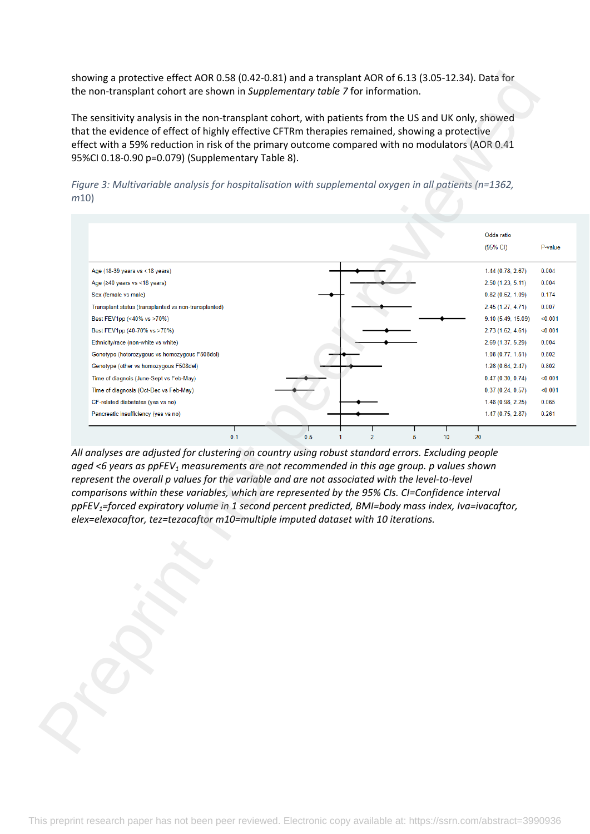showing a protective effect AOR 0.58 (0.42-0.81) and a transplant AOR of 6.13 (3.05-12.34). Data for the non-transplant cohort are shown in *Supplementary table 7* for information.

The sensitivity analysis in the non-transplant cohort, with patients from the US and UK only, showed that the evidence of effect of highly effective CFTRm therapies remained, showing a protective effect with a 59% reduction in risk of the primary outcome compared with no modulators (AOR 0.41 95%CI 0.18-0.90 p=0.079) (Supplementary Table 8).





*All analyses are adjusted for clustering on country using robust standard errors. Excluding people aged <6 years as ppFEV1 measurements are not recommended in this age group. p values shown represent the overall p values for the variable and are not associated with the level-to-level comparisons within these variables, which are represented by the 95% CIs. CI=Confidence interval ppFEV1=forced expiratory volume in 1 second percent predicted, BMI=body mass index, Iva=ivacaftor, elex=elexacaftor, tez=tezacaftor m10=multiple imputed dataset with 10 iterations.*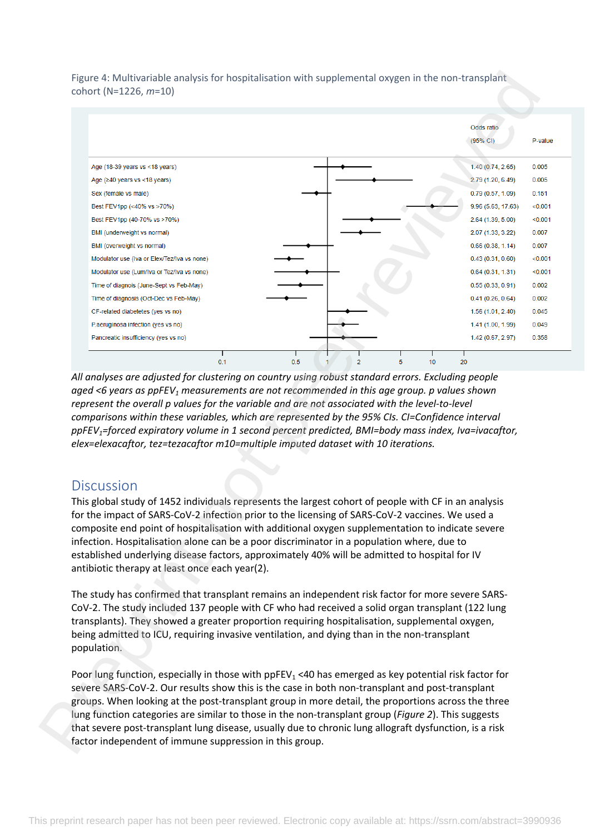Figure 4: Multivariable analysis for hospitalisation with supplemental oxygen in the non-transplant cohort (N=1226, *m*=10)



*All analyses are adjusted for clustering on country using robust standard errors. Excluding people aged <6 years as ppFEV1 measurements are not recommended in this age group. p values shown represent the overall p values for the variable and are not associated with the level-to-level comparisons within these variables, which are represented by the 95% CIs. CI=Confidence interval ppFEV1=forced expiratory volume in 1 second percent predicted, BMI=body mass index, Iva=ivacaftor, elex=elexacaftor, tez=tezacaftor m10=multiple imputed dataset with 10 iterations.*

# **Discussion**

This global study of 1452 individuals represents the largest cohort of people with CF in an analysis for the impact of SARS-CoV-2 infection prior to the licensing of SARS-CoV-2 vaccines. We used a composite end point of hospitalisation with additional oxygen supplementation to indicate severe infection. Hospitalisation alone can be a poor discriminator in a population where, due to established underlying disease factors, approximately 40% will be admitted to hospital for IV antibiotic therapy at least once each year(2).

The study has confirmed that transplant remains an independent risk factor for more severe SARS-CoV-2. The study included 137 people with CF who had received a solid organ transplant (122 lung transplants). They showed a greater proportion requiring hospitalisation, supplemental oxygen, being admitted to ICU, requiring invasive ventilation, and dying than in the non-transplant population.

Poor lung function, especially in those with  $ppFEV<sub>1</sub>$  <40 has emerged as key potential risk factor for severe SARS-CoV-2. Our results show this is the case in both non-transplant and post-transplant groups. When looking at the post-transplant group in more detail, the proportions across the three lung function categories are similar to those in the non-transplant group (*Figure 2*). This suggests that severe post-transplant lung disease, usually due to chronic lung allograft dysfunction, is a risk factor independent of immune suppression in this group.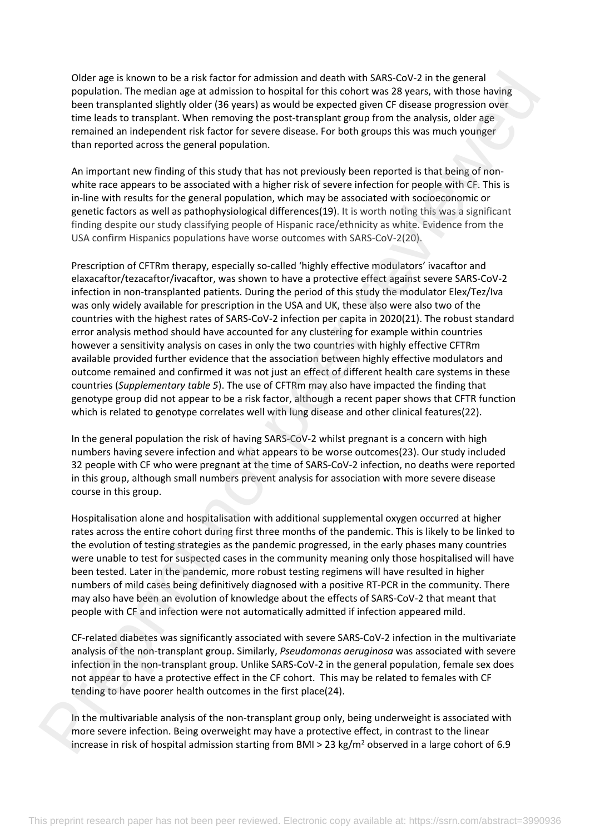Older age is known to be a risk factor for admission and death with SARS-CoV-2 in the general population. The median age at admission to hospital for this cohort was 28 years, with those having been transplanted slightly older (36 years) as would be expected given CF disease progression over time leads to transplant. When removing the post-transplant group from the analysis, older age remained an independent risk factor for severe disease. For both groups this was much younger than reported across the general population.

An important new finding of this study that has not previously been reported is that being of nonwhite race appears to be associated with a higher risk of severe infection for people with CF. This is in-line with results for the general population, which may be associated with socioeconomic or genetic factors as well as pathophysiological differences(19). It is worth noting this was a significant finding despite our study classifying people of Hispanic race/ethnicity as white. Evidence from the USA confirm Hispanics populations have worse outcomes with SARS-CoV-2(20).

Prescription of CFTRm therapy, especially so-called 'highly effective modulators' ivacaftor and elaxacaftor/tezacaftor/ivacaftor, was shown to have a protective effect against severe SARS-CoV-2 infection in non-transplanted patients. During the period of this study the modulator Elex/Tez/Iva was only widely available for prescription in the USA and UK, these also were also two of the countries with the highest rates of SARS-CoV-2 infection per capita in 2020(21). The robust standard error analysis method should have accounted for any clustering for example within countries however a sensitivity analysis on cases in only the two countries with highly effective CFTRm available provided further evidence that the association between highly effective modulators and outcome remained and confirmed it was not just an effect of different health care systems in these countries (*Supplementary table 5*). The use of CFTRm may also have impacted the finding that genotype group did not appear to be a risk factor, although a recent paper shows that CFTR function which is related to genotype correlates well with lung disease and other clinical features(22). Older age is hower to be a mick fect for somition and station and station (or somition and station for somition and station for some response to the general microscopy of the general microscopy and the search in the gener

In the general population the risk of having SARS-CoV-2 whilst pregnant is a concern with high numbers having severe infection and what appears to be worse outcomes(23). Our study included 32 people with CF who were pregnant at the time of SARS-CoV-2 infection, no deaths were reported in this group, although small numbers prevent analysis for association with more severe disease course in this group.

Hospitalisation alone and hospitalisation with additional supplemental oxygen occurred at higher rates across the entire cohort during first three months of the pandemic. This is likely to be linked to the evolution of testing strategies as the pandemic progressed, in the early phases many countries were unable to test for suspected cases in the community meaning only those hospitalised will have been tested. Later in the pandemic, more robust testing regimens will have resulted in higher numbers of mild cases being definitively diagnosed with a positive RT-PCR in the community. There may also have been an evolution of knowledge about the effects of SARS-CoV-2 that meant that people with CF and infection were not automatically admitted if infection appeared mild.

CF-related diabetes was significantly associated with severe SARS-CoV-2 infection in the multivariate analysis of the non-transplant group. Similarly, *Pseudomonas aeruginosa* was associated with severe infection in the non-transplant group. Unlike SARS-CoV-2 in the general population, female sex does not appear to have a protective effect in the CF cohort. This may be related to females with CF tending to have poorer health outcomes in the first place(24).

In the multivariable analysis of the non-transplant group only, being underweight is associated with more severe infection. Being overweight may have a protective effect, in contrast to the linear increase in risk of hospital admission starting from BMI > 23 kg/m<sup>2</sup> observed in a large cohort of 6.9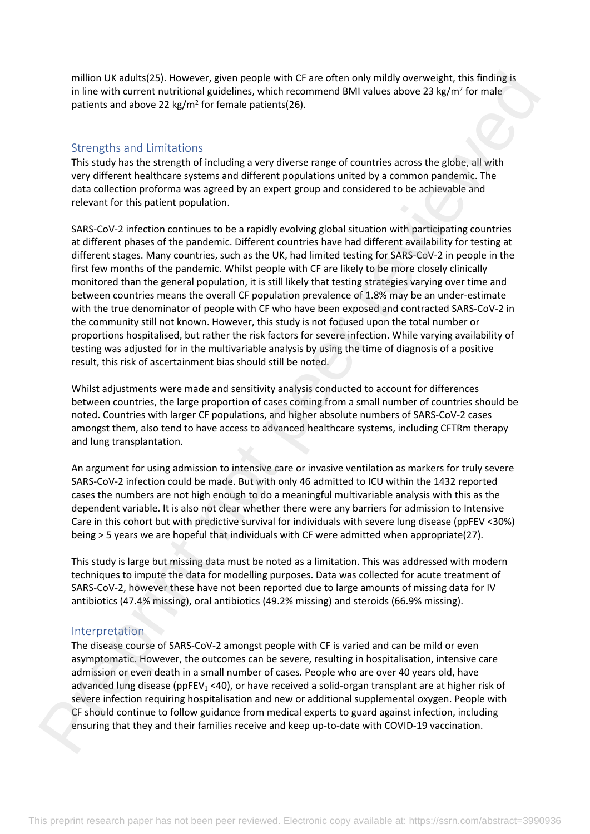million UK adults(25). However, given people with CF are often only mildly overweight, this finding is in line with current nutritional guidelines, which recommend BMI values above 23 kg/m<sup>2</sup> for male patients and above 22 kg/m<sup>2</sup> for female patients(26).

## Strengths and Limitations

This study has the strength of including a very diverse range of countries across the globe, all with very different healthcare systems and different populations united by a common pandemic. The data collection proforma was agreed by an expert group and considered to be achievable and relevant for this patient population.

SARS-CoV-2 infection continues to be a rapidly evolving global situation with participating countries at different phases of the pandemic. Different countries have had different availability for testing at different stages. Many countries, such as the UK, had limited testing for SARS-CoV-2 in people in the first few months of the pandemic. Whilst people with CF are likely to be more closely clinically monitored than the general population, it is still likely that testing strategies varying over time and between countries means the overall CF population prevalence of 1.8% may be an under-estimate with the true denominator of people with CF who have been exposed and contracted SARS-CoV-2 in the community still not known. However, this study is not focused upon the total number or proportions hospitalised, but rather the risk factors for severe infection. While varying availability of testing was adjusted for in the multivariable analysis by using the time of diagnosis of a positive result, this risk of ascertainment bias should still be noted. million Us keel totach is a statement to per result of the of the only hully operave the thin finding is and limitations and decrease only in the other based and the million of the other is a statement of the other is a st

Whilst adjustments were made and sensitivity analysis conducted to account for differences between countries, the large proportion of cases coming from a small number of countries should be noted. Countries with larger CF populations, and higher absolute numbers of SARS-CoV-2 cases amongst them, also tend to have access to advanced healthcare systems, including CFTRm therapy and lung transplantation.

An argument for using admission to intensive care or invasive ventilation as markers for truly severe SARS-CoV-2 infection could be made. But with only 46 admitted to ICU within the 1432 reported cases the numbers are not high enough to do a meaningful multivariable analysis with this as the dependent variable. It is also not clear whether there were any barriers for admission to Intensive Care in this cohort but with predictive survival for individuals with severe lung disease (ppFEV <30%) being > 5 years we are hopeful that individuals with CF were admitted when appropriate(27).

This study is large but missing data must be noted as a limitation. This was addressed with modern techniques to impute the data for modelling purposes. Data was collected for acute treatment of SARS-CoV-2, however these have not been reported due to large amounts of missing data for IV antibiotics (47.4% missing), oral antibiotics (49.2% missing) and steroids (66.9% missing).

## Interpretation

The disease course of SARS-CoV-2 amongst people with CF is varied and can be mild or even asymptomatic. However, the outcomes can be severe, resulting in hospitalisation, intensive care admission or even death in a small number of cases. People who are over 40 years old, have advanced lung disease (ppFEV<sub>1</sub> <40), or have received a solid-organ transplant are at higher risk of severe infection requiring hospitalisation and new or additional supplemental oxygen. People with CF should continue to follow guidance from medical experts to guard against infection, including ensuring that they and their families receive and keep up-to-date with COVID-19 vaccination.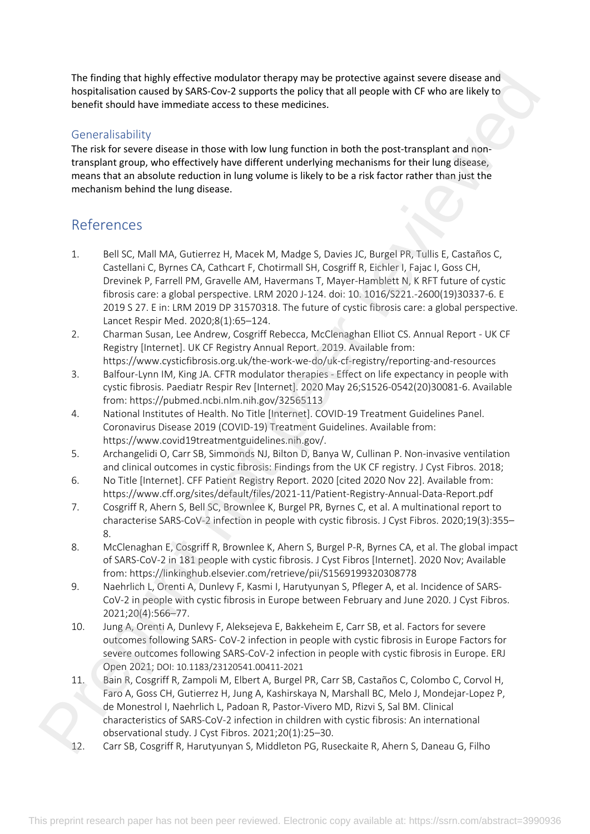The finding that highly effective modulator therapy may be protective against severe disease and hospitalisation caused by SARS-Cov-2 supports the policy that all people with CF who are likely to benefit should have immediate access to these medicines.

# **Generalisability**

The risk for severe disease in those with low lung function in both the post-transplant and nontransplant group, who effectively have different underlying mechanisms for their lung disease, means that an absolute reduction in lung volume is likely to be a risk factor rather than just the mechanism behind the lung disease.

# References

- 1. Bell SC, Mall MA, Gutierrez H, Macek M, Madge S, Davies JC, Burgel PR, Tullis E, Castaños C, Castellani C, Byrnes CA, Cathcart F, Chotirmall SH, Cosgriff R, Eichler I, Fajac I, Goss CH, Drevinek P, Farrell PM, Gravelle AM, Havermans T, Mayer-Hamblett N, K RFT future of cystic fibrosis care: a global perspective. LRM 2020 J-124. doi: 10. 1016/S221.-2600(19)30337-6. E 2019 S 27. E in: LRM 2019 DP 31570318. The future of cystic fibrosis care: a global perspective. Lancet Respir Med. 2020;8(1):65–124. The finding that highly effects on odd at the sign ranging may be prestrated to endomy the present space and the sign response to the sign ranging the sign ranging the sign ranging the sign ranging the sign ranging the si
	- 2. Charman Susan, Lee Andrew, Cosgriff Rebecca, McClenaghan Elliot CS. Annual Report UK CF Registry [Internet]. UK CF Registry Annual Report. 2019. Available from:

https://www.cysticfibrosis.org.uk/the-work-we-do/uk-cf-registry/reporting-and-resources 3. Balfour-Lynn IM, King JA. CFTR modulator therapies - Effect on life expectancy in people with cystic fibrosis. Paediatr Respir Rev [Internet]. 2020 May 26;S1526-0542(20)30081-6. Available from: https://pubmed.ncbi.nlm.nih.gov/32565113

- 4. National Institutes of Health. No Title [Internet]. COVID-19 Treatment Guidelines Panel. Coronavirus Disease 2019 (COVID-19) Treatment Guidelines. Available from: https://www.covid19treatmentguidelines.nih.gov/.
- 5. Archangelidi O, Carr SB, Simmonds NJ, Bilton D, Banya W, Cullinan P. Non-invasive ventilation and clinical outcomes in cystic fibrosis: Findings from the UK CF registry. J Cyst Fibros. 2018;
- 6. No Title [Internet]. CFF Patient Registry Report. 2020 [cited 2020 Nov 22]. Available from: https://www.cff.org/sites/default/files/2021-11/Patient-Registry-Annual-Data-Report.pdf
- 7. Cosgriff R, Ahern S, Bell SC, Brownlee K, Burgel PR, Byrnes C, et al. A multinational report to characterise SARS-CoV-2 infection in people with cystic fibrosis. J Cyst Fibros. 2020;19(3):355– 8.
- 8. McClenaghan E, Cosgriff R, Brownlee K, Ahern S, Burgel P-R, Byrnes CA, et al. The global impact of SARS-CoV-2 in 181 people with cystic fibrosis. J Cyst Fibros [Internet]. 2020 Nov; Available from: https://linkinghub.elsevier.com/retrieve/pii/S1569199320308778
- 9. Naehrlich L, Orenti A, Dunlevy F, Kasmi I, Harutyunyan S, Pfleger A, et al. Incidence of SARS-CoV-2 in people with cystic fibrosis in Europe between February and June 2020. J Cyst Fibros. 2021;20(4):566–77.
- 10. Jung A, Orenti A, Dunlevy F, Aleksejeva E, Bakkeheim E, Carr SB, et al. Factors for severe outcomes following SARS- CoV-2 infection in people with cystic fibrosis in Europe Factors for severe outcomes following SARS-CoV-2 infection in people with cystic fibrosis in Europe. ERJ Open 2021; DOI: 10.1183/23120541.00411-2021
- 11. Bain R, Cosgriff R, Zampoli M, Elbert A, Burgel PR, Carr SB, Castaños C, Colombo C, Corvol H, Faro A, Goss CH, Gutierrez H, Jung A, Kashirskaya N, Marshall BC, Melo J, Mondejar-Lopez P, de Monestrol I, Naehrlich L, Padoan R, Pastor-Vivero MD, Rizvi S, Sal BM. Clinical characteristics of SARS-CoV-2 infection in children with cystic fibrosis: An international observational study. J Cyst Fibros. 2021;20(1):25–30.
- 12. Carr SB, Cosgriff R, Harutyunyan S, Middleton PG, Ruseckaite R, Ahern S, Daneau G, Filho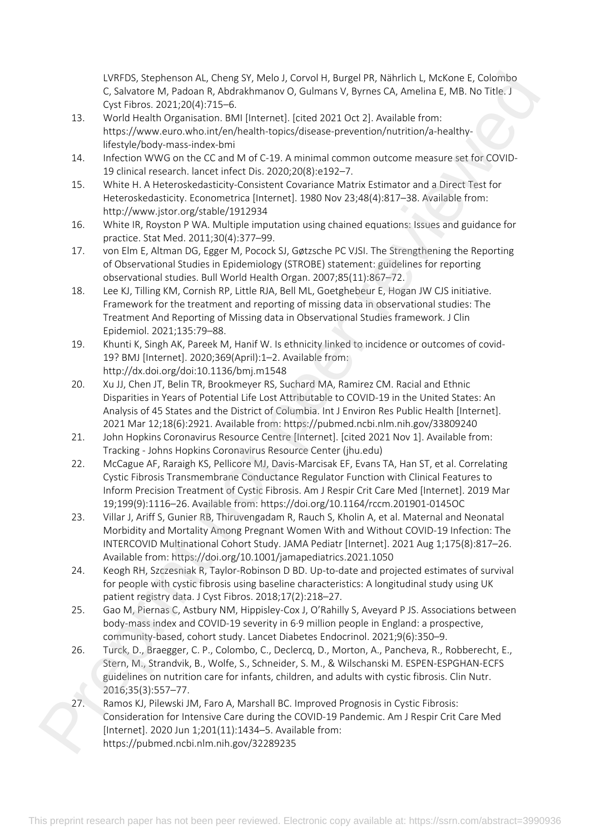LVRFDS, Stephenson AL, Cheng SY, Melo J, Corvol H, Burgel PR, Nährlich L, McKone E, Colombo C, Salvatore M, Padoan R, Abdrakhmanov O, Gulmans V, Byrnes CA, Amelina E, MB. No Title. J Cyst Fibros. 2021;20(4):715–6.

- 13. World Health Organisation. BMI [Internet]. [cited 2021 Oct 2]. Available from: https://www.euro.who.int/en/health-topics/disease-prevention/nutrition/a-healthylifestyle/body-mass-index-bmi
- 14. Infection WWG on the CC and M of C-19. A minimal common outcome measure set for COVID-19 clinical research. lancet infect Dis. 2020;20(8):e192–7.
- 15. White H. A Heteroskedasticity-Consistent Covariance Matrix Estimator and a Direct Test for Heteroskedasticity. Econometrica [Internet]. 1980 Nov 23;48(4):817–38. Available from: http://www.jstor.org/stable/1912934
- 16. White IR, Royston P WA. Multiple imputation using chained equations: Issues and guidance for practice. Stat Med. 2011;30(4):377–99.
- 17. von Elm E, Altman DG, Egger M, Pocock SJ, Gøtzsche PC VJSI. The Strengthening the Reporting of Observational Studies in Epidemiology (STROBE) statement: guidelines for reporting observational studies. Bull World Health Organ. 2007;85(11):867–72.
- 18. Lee KJ, Tilling KM, Cornish RP, Little RJA, Bell ML, Goetghebeur E, Hogan JW CJS initiative. Framework for the treatment and reporting of missing data in observational studies: The Treatment And Reporting of Missing data in Observational Studies framework. J Clin Epidemiol. 2021;135:79–88.
- 19. Khunti K, Singh AK, Pareek M, Hanif W. Is ethnicity linked to incidence or outcomes of covid-19? BMJ [Internet]. 2020;369(April):1–2. Available from: http://dx.doi.org/doi:10.1136/bmj.m1548
- 20. Xu JJ, Chen JT, Belin TR, Brookmeyer RS, Suchard MA, Ramirez CM. Racial and Ethnic Disparities in Years of Potential Life Lost Attributable to COVID-19 in the United States: An Analysis of 45 States and the District of Columbia. Int J Environ Res Public Health [Internet]. 2021 Mar 12;18(6):2921. Available from: https://pubmed.ncbi.nlm.nih.gov/33809240
- 21. John Hopkins Coronavirus Resource Centre [Internet]. [cited 2021 Nov 1]. Available from: Tracking - Johns Hopkins Coronavirus Resource Center (jhu.edu)
- 22. McCague AF, Raraigh KS, Pellicore MJ, Davis-Marcisak EF, Evans TA, Han ST, et al. Correlating Cystic Fibrosis Transmembrane Conductance Regulator Function with Clinical Features to Inform Precision Treatment of Cystic Fibrosis. Am J Respir Crit Care Med [Internet]. 2019 Mar 19;199(9):1116–26. Available from: https://doi.org/10.1164/rccm.201901-0145OC
- 23. Villar J, Ariff S, Gunier RB, Thiruvengadam R, Rauch S, Kholin A, et al. Maternal and Neonatal Morbidity and Mortality Among Pregnant Women With and Without COVID-19 Infection: The INTERCOVID Multinational Cohort Study. JAMA Pediatr [Internet]. 2021 Aug 1;175(8):817–26. Available from: https://doi.org/10.1001/jamapediatrics.2021.1050 CoV-15 Systems (Mathematic Coroner is the Mathematic University of the Hamilton University (C. Secondary A. F. 2001)<br>Continues the Mathematic Coroner is considered to the Mathematic University of the Mathematic Coroner of
	- 24. Keogh RH, Szczesniak R, Taylor-Robinson D BD. Up-to-date and projected estimates of survival for people with cystic fibrosis using baseline characteristics: A longitudinal study using UK patient registry data. J Cyst Fibros. 2018;17(2):218–27.
	- 25. Gao M, Piernas C, Astbury NM, Hippisley-Cox J, O'Rahilly S, Aveyard P JS. Associations between body-mass index and COVID-19 severity in 6·9 million people in England: a prospective, community-based, cohort study. Lancet Diabetes Endocrinol. 2021;9(6):350–9.
	- 26. Turck, D., Braegger, C. P., Colombo, C., Declercq, D., Morton, A., Pancheva, R., Robberecht, E., Stern, M., Strandvik, B., Wolfe, S., Schneider, S. M., & Wilschanski M. ESPEN-ESPGHAN-ECFS guidelines on nutrition care for infants, children, and adults with cystic fibrosis. Clin Nutr. 2016;35(3):557–77.
	- 27. Ramos KJ, Pilewski JM, Faro A, Marshall BC. Improved Prognosis in Cystic Fibrosis: Consideration for Intensive Care during the COVID-19 Pandemic. Am J Respir Crit Care Med [Internet]. 2020 Jun 1;201(11):1434–5. Available from: https://pubmed.ncbi.nlm.nih.gov/32289235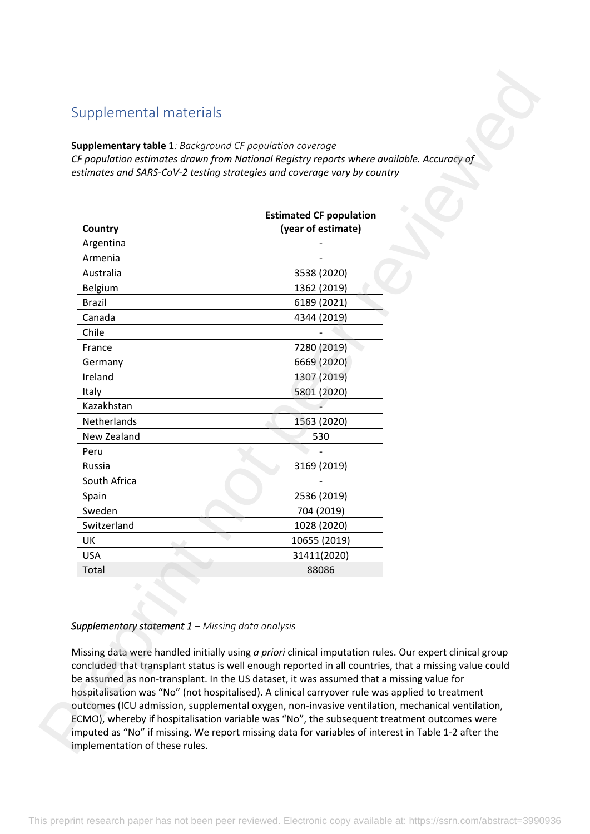# Supplemental materials

#### **Supplementary table 1***: Background CF population coverage*

|               | <b>Estimated CF population</b> |  |
|---------------|--------------------------------|--|
| Country       | (year of estimate)             |  |
| Argentina     |                                |  |
| Armenia       |                                |  |
| Australia     | 3538 (2020)                    |  |
| Belgium       | 1362 (2019)                    |  |
| <b>Brazil</b> | 6189 (2021)                    |  |
| Canada        | 4344 (2019)                    |  |
| Chile         |                                |  |
| France        | 7280 (2019)                    |  |
| Germany       | 6669 (2020)                    |  |
| Ireland       | 1307 (2019)                    |  |
| Italy         | 5801 (2020)                    |  |
| Kazakhstan    |                                |  |
| Netherlands   | 1563 (2020)                    |  |
| New Zealand   | 530                            |  |
| Peru          |                                |  |
| Russia        | 3169 (2019)                    |  |
| South Africa  |                                |  |
| Spain         | 2536 (2019)                    |  |
| Sweden        | 704 (2019)                     |  |
| Switzerland   | 1028 (2020)                    |  |
| UK            | 10655 (2019)                   |  |
| <b>USA</b>    | 31411(2020)                    |  |
| Total         | 88086                          |  |

## *Supplementary statement 1 – Missing data analysis*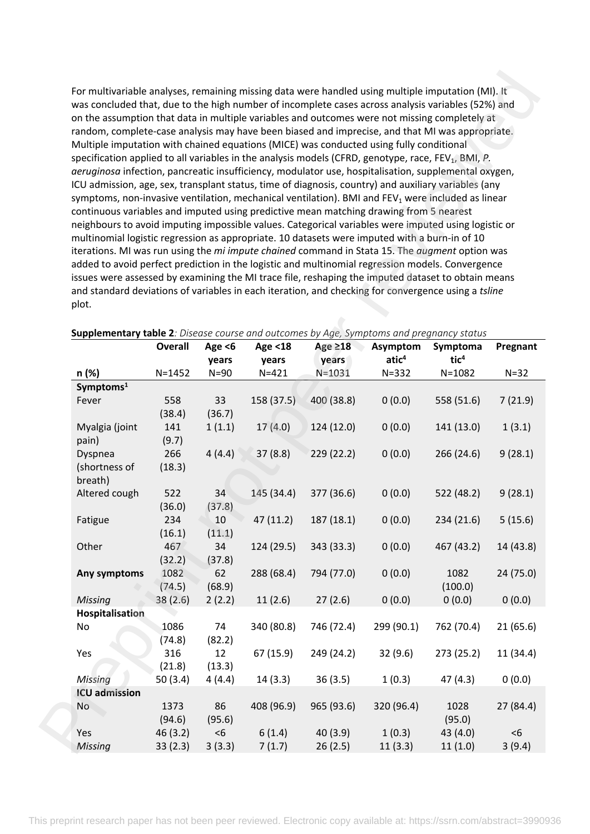| For multivariable analyses, remaining missing data were handled using multiple imputation (MI). It<br>was concluded that, due to the high number of incomplete cases across analysis variables (52%) and<br>on the assumption that data in multiple variables and outcomes were not missing completely at<br>random, complete-case analysis may have been biased and imprecise, and that MI was appropriate.<br>Multiple imputation with chained equations (MICE) was conducted using fully conditional<br>specification applied to all variables in the analysis models (CFRD, genotype, race, FEV <sub>1</sub> , BMI, P.<br>aeruginosa infection, pancreatic insufficiency, modulator use, hospitalisation, supplemental oxygen,<br>ICU admission, age, sex, transplant status, time of diagnosis, country) and auxiliary variables (any<br>symptoms, non-invasive ventilation, mechanical ventilation). BMI and $FEV1$ were included as linear<br>continuous variables and imputed using predictive mean matching drawing from 5 nearest<br>neighbours to avoid imputing impossible values. Categorical variables were imputed using logistic or<br>multinomial logistic regression as appropriate. 10 datasets were imputed with a burn-in of 10<br>iterations. MI was run using the mi impute chained command in Stata 15. The augment option was<br>added to avoid perfect prediction in the logistic and multinomial regression models. Convergence |                |                    |                            |                        |                               |                              |           |
|------------------------------------------------------------------------------------------------------------------------------------------------------------------------------------------------------------------------------------------------------------------------------------------------------------------------------------------------------------------------------------------------------------------------------------------------------------------------------------------------------------------------------------------------------------------------------------------------------------------------------------------------------------------------------------------------------------------------------------------------------------------------------------------------------------------------------------------------------------------------------------------------------------------------------------------------------------------------------------------------------------------------------------------------------------------------------------------------------------------------------------------------------------------------------------------------------------------------------------------------------------------------------------------------------------------------------------------------------------------------------------------------------------------------------------------------------------|----------------|--------------------|----------------------------|------------------------|-------------------------------|------------------------------|-----------|
| issues were assessed by examining the MI trace file, reshaping the imputed dataset to obtain means                                                                                                                                                                                                                                                                                                                                                                                                                                                                                                                                                                                                                                                                                                                                                                                                                                                                                                                                                                                                                                                                                                                                                                                                                                                                                                                                                         |                |                    |                            |                        |                               |                              |           |
| and standard deviations of variables in each iteration, and checking for convergence using a tsline                                                                                                                                                                                                                                                                                                                                                                                                                                                                                                                                                                                                                                                                                                                                                                                                                                                                                                                                                                                                                                                                                                                                                                                                                                                                                                                                                        |                |                    |                            |                        |                               |                              |           |
| plot.                                                                                                                                                                                                                                                                                                                                                                                                                                                                                                                                                                                                                                                                                                                                                                                                                                                                                                                                                                                                                                                                                                                                                                                                                                                                                                                                                                                                                                                      |                |                    |                            |                        |                               |                              |           |
|                                                                                                                                                                                                                                                                                                                                                                                                                                                                                                                                                                                                                                                                                                                                                                                                                                                                                                                                                                                                                                                                                                                                                                                                                                                                                                                                                                                                                                                            |                |                    |                            |                        |                               |                              |           |
| <b>Supplementary table 2</b> : Disease course and outcomes by Age, Symptoms and pregnancy status                                                                                                                                                                                                                                                                                                                                                                                                                                                                                                                                                                                                                                                                                                                                                                                                                                                                                                                                                                                                                                                                                                                                                                                                                                                                                                                                                           |                |                    |                            |                        |                               |                              |           |
|                                                                                                                                                                                                                                                                                                                                                                                                                                                                                                                                                                                                                                                                                                                                                                                                                                                                                                                                                                                                                                                                                                                                                                                                                                                                                                                                                                                                                                                            | <b>Overall</b> | Age $<$ 6<br>years | <b>Age &lt;18</b><br>years | Age $\geq$ 18<br>years | Asymptom<br>atic <sup>4</sup> | Symptoma<br>tic <sup>4</sup> | Pregnant  |
| n (%)                                                                                                                                                                                                                                                                                                                                                                                                                                                                                                                                                                                                                                                                                                                                                                                                                                                                                                                                                                                                                                                                                                                                                                                                                                                                                                                                                                                                                                                      | $N = 1452$     | $N=90$             | $N = 421$                  | $N = 1031$             | $N = 332$                     | $N = 1082$                   | $N=32$    |
| Symptoms <sup>1</sup>                                                                                                                                                                                                                                                                                                                                                                                                                                                                                                                                                                                                                                                                                                                                                                                                                                                                                                                                                                                                                                                                                                                                                                                                                                                                                                                                                                                                                                      |                |                    |                            |                        |                               |                              |           |
| Fever                                                                                                                                                                                                                                                                                                                                                                                                                                                                                                                                                                                                                                                                                                                                                                                                                                                                                                                                                                                                                                                                                                                                                                                                                                                                                                                                                                                                                                                      | 558            | 33                 | 158 (37.5)                 | 400 (38.8)             | 0(0.0)                        | 558 (51.6)                   | 7(21.9)   |
|                                                                                                                                                                                                                                                                                                                                                                                                                                                                                                                                                                                                                                                                                                                                                                                                                                                                                                                                                                                                                                                                                                                                                                                                                                                                                                                                                                                                                                                            | (38.4)         | (36.7)             |                            |                        |                               |                              |           |
| Myalgia (joint                                                                                                                                                                                                                                                                                                                                                                                                                                                                                                                                                                                                                                                                                                                                                                                                                                                                                                                                                                                                                                                                                                                                                                                                                                                                                                                                                                                                                                             | 141            | 1(1.1)             | 17(4.0)                    | 124 (12.0)             | 0(0.0)                        | 141 (13.0)                   | 1(3.1)    |
| pain)                                                                                                                                                                                                                                                                                                                                                                                                                                                                                                                                                                                                                                                                                                                                                                                                                                                                                                                                                                                                                                                                                                                                                                                                                                                                                                                                                                                                                                                      | (9.7)          |                    |                            |                        |                               |                              |           |
| Dyspnea                                                                                                                                                                                                                                                                                                                                                                                                                                                                                                                                                                                                                                                                                                                                                                                                                                                                                                                                                                                                                                                                                                                                                                                                                                                                                                                                                                                                                                                    | 266            | 4(4.4)             | 37(8.8)                    | 229 (22.2)             | 0(0.0)                        | 266 (24.6)                   | 9(28.1)   |
| (shortness of                                                                                                                                                                                                                                                                                                                                                                                                                                                                                                                                                                                                                                                                                                                                                                                                                                                                                                                                                                                                                                                                                                                                                                                                                                                                                                                                                                                                                                              | (18.3)         |                    |                            |                        |                               |                              |           |
| breath)                                                                                                                                                                                                                                                                                                                                                                                                                                                                                                                                                                                                                                                                                                                                                                                                                                                                                                                                                                                                                                                                                                                                                                                                                                                                                                                                                                                                                                                    |                |                    |                            |                        |                               |                              |           |
| Altered cough                                                                                                                                                                                                                                                                                                                                                                                                                                                                                                                                                                                                                                                                                                                                                                                                                                                                                                                                                                                                                                                                                                                                                                                                                                                                                                                                                                                                                                              | 522            | 34                 | 145 (34.4)                 | 377 (36.6)             | 0(0.0)                        | 522 (48.2)                   | 9(28.1)   |
|                                                                                                                                                                                                                                                                                                                                                                                                                                                                                                                                                                                                                                                                                                                                                                                                                                                                                                                                                                                                                                                                                                                                                                                                                                                                                                                                                                                                                                                            | (36.0)         | (37.8)             |                            |                        |                               |                              |           |
| Fatigue                                                                                                                                                                                                                                                                                                                                                                                                                                                                                                                                                                                                                                                                                                                                                                                                                                                                                                                                                                                                                                                                                                                                                                                                                                                                                                                                                                                                                                                    | 234            | 10                 | 47(11.2)                   | 187 (18.1)             | 0(0.0)                        | 234(21.6)                    | 5(15.6)   |
|                                                                                                                                                                                                                                                                                                                                                                                                                                                                                                                                                                                                                                                                                                                                                                                                                                                                                                                                                                                                                                                                                                                                                                                                                                                                                                                                                                                                                                                            | (16.1)         | (11.1)             |                            |                        |                               |                              |           |
| Other                                                                                                                                                                                                                                                                                                                                                                                                                                                                                                                                                                                                                                                                                                                                                                                                                                                                                                                                                                                                                                                                                                                                                                                                                                                                                                                                                                                                                                                      | 467            | 34                 | 124 (29.5)                 | 343 (33.3)             | 0(0.0)                        | 467 (43.2)                   | 14 (43.8) |
|                                                                                                                                                                                                                                                                                                                                                                                                                                                                                                                                                                                                                                                                                                                                                                                                                                                                                                                                                                                                                                                                                                                                                                                                                                                                                                                                                                                                                                                            | (32.2)         | (37.8)             |                            |                        |                               |                              |           |
| Any symptoms                                                                                                                                                                                                                                                                                                                                                                                                                                                                                                                                                                                                                                                                                                                                                                                                                                                                                                                                                                                                                                                                                                                                                                                                                                                                                                                                                                                                                                               | 1082           | 62                 | 288 (68.4)                 | 794 (77.0)             | 0(0.0)                        | 1082                         | 24 (75.0) |
|                                                                                                                                                                                                                                                                                                                                                                                                                                                                                                                                                                                                                                                                                                                                                                                                                                                                                                                                                                                                                                                                                                                                                                                                                                                                                                                                                                                                                                                            | (74.5)         | (68.9)             |                            |                        |                               | (100.0)                      |           |
| <b>Missing</b>                                                                                                                                                                                                                                                                                                                                                                                                                                                                                                                                                                                                                                                                                                                                                                                                                                                                                                                                                                                                                                                                                                                                                                                                                                                                                                                                                                                                                                             | 38(2.6)        | 2(2.2)             | 11(2.6)                    | 27(2.6)                | 0(0.0)                        | 0(0.0)                       | 0(0.0)    |
| <b>Hospitalisation</b>                                                                                                                                                                                                                                                                                                                                                                                                                                                                                                                                                                                                                                                                                                                                                                                                                                                                                                                                                                                                                                                                                                                                                                                                                                                                                                                                                                                                                                     |                |                    |                            |                        |                               |                              |           |
| No                                                                                                                                                                                                                                                                                                                                                                                                                                                                                                                                                                                                                                                                                                                                                                                                                                                                                                                                                                                                                                                                                                                                                                                                                                                                                                                                                                                                                                                         | 1086           | 74                 | 340 (80.8)                 | 746 (72.4)             | 299 (90.1)                    | 762 (70.4)                   | 21(65.6)  |
|                                                                                                                                                                                                                                                                                                                                                                                                                                                                                                                                                                                                                                                                                                                                                                                                                                                                                                                                                                                                                                                                                                                                                                                                                                                                                                                                                                                                                                                            | (74.8)         | (82.2)             |                            |                        |                               |                              |           |
| Yes                                                                                                                                                                                                                                                                                                                                                                                                                                                                                                                                                                                                                                                                                                                                                                                                                                                                                                                                                                                                                                                                                                                                                                                                                                                                                                                                                                                                                                                        | 316            | 12                 | 67 (15.9)                  | 249 (24.2)             | 32(9.6)                       | 273 (25.2)                   | 11 (34.4) |
|                                                                                                                                                                                                                                                                                                                                                                                                                                                                                                                                                                                                                                                                                                                                                                                                                                                                                                                                                                                                                                                                                                                                                                                                                                                                                                                                                                                                                                                            | (21.8)         | (13.3)             |                            |                        |                               |                              |           |
| Missing                                                                                                                                                                                                                                                                                                                                                                                                                                                                                                                                                                                                                                                                                                                                                                                                                                                                                                                                                                                                                                                                                                                                                                                                                                                                                                                                                                                                                                                    | 50(3.4)        | 4(4.4)             | 14(3.3)                    | 36(3.5)                | 1(0.3)                        | 47 (4.3)                     | 0(0.0)    |
| <b>ICU</b> admission                                                                                                                                                                                                                                                                                                                                                                                                                                                                                                                                                                                                                                                                                                                                                                                                                                                                                                                                                                                                                                                                                                                                                                                                                                                                                                                                                                                                                                       |                |                    |                            |                        |                               |                              |           |
| No                                                                                                                                                                                                                                                                                                                                                                                                                                                                                                                                                                                                                                                                                                                                                                                                                                                                                                                                                                                                                                                                                                                                                                                                                                                                                                                                                                                                                                                         | 1373           | 86                 | 408 (96.9)                 | 965 (93.6)             | 320 (96.4)                    | 1028                         | 27 (84.4) |
|                                                                                                                                                                                                                                                                                                                                                                                                                                                                                                                                                                                                                                                                                                                                                                                                                                                                                                                                                                                                                                                                                                                                                                                                                                                                                                                                                                                                                                                            | (94.6)         | (95.6)             |                            |                        |                               | (95.0)                       |           |
| Yes                                                                                                                                                                                                                                                                                                                                                                                                                                                                                                                                                                                                                                                                                                                                                                                                                                                                                                                                                                                                                                                                                                                                                                                                                                                                                                                                                                                                                                                        | 46(3.2)        | < 6                | 6(1.4)                     | 40 (3.9)               | 1(0.3)                        | 43 (4.0)                     | < 6       |
| Missing                                                                                                                                                                                                                                                                                                                                                                                                                                                                                                                                                                                                                                                                                                                                                                                                                                                                                                                                                                                                                                                                                                                                                                                                                                                                                                                                                                                                                                                    | 33(2.3)        | 3(3.3)             | 7(1.7)                     | 26(2.5)                | 11(3.3)                       | 11(1.0)                      | 3(9.4)    |

#### **Supplementary table 2***: Disease course and outcomes by Age, Symptoms and pregnancy status*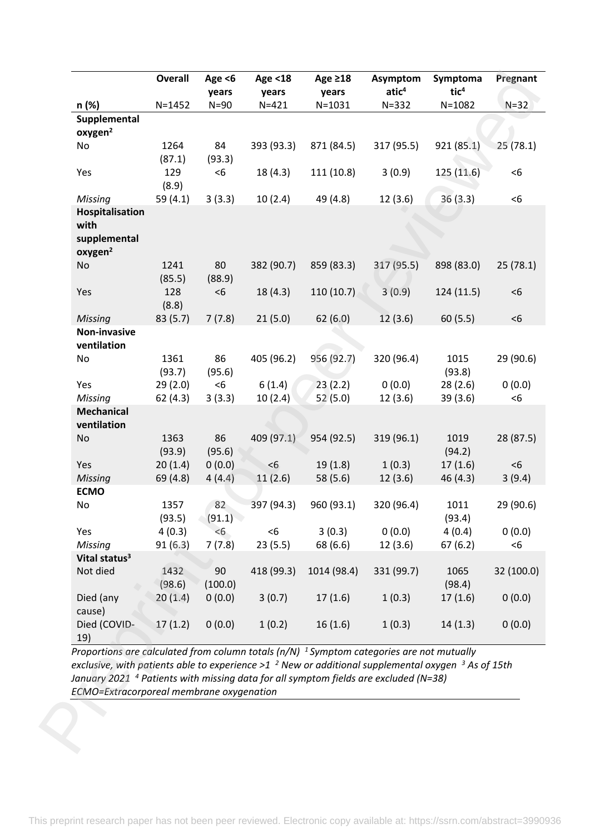| n (%)                                       | <b>Overall</b>    | Age $<$ 6<br>years | Age <18<br>years | Age $\geq$ 18<br>years | Asymptom<br>atic <sup>4</sup> | Symptoma<br>tic <sup>4</sup> | Pregnant      |
|---------------------------------------------|-------------------|--------------------|------------------|------------------------|-------------------------------|------------------------------|---------------|
|                                             | $N = 1452$        | $N=90$             | $N = 421$        | $N = 1031$             | $N = 332$                     | $N = 1082$                   | $N=32$        |
| Supplemental<br>oxygen <sup>2</sup>         |                   |                    |                  |                        |                               |                              |               |
| No                                          | 1264<br>(87.1)    | 84<br>(93.3)       | 393 (93.3)       | 871 (84.5)             | 317 (95.5)                    | 921(85.1)                    | 25(78.1)      |
| Yes                                         | 129<br>(8.9)      | < 6                | 18 (4.3)         | 111 (10.8)             | 3(0.9)                        | 125 (11.6)                   | < 6           |
| Missing                                     | 59 (4.1)          | 3(3.3)             | 10(2.4)          | 49 (4.8)               | 12(3.6)                       | 36(3.3)                      | $<$ 6         |
| Hospitalisation                             |                   |                    |                  |                        |                               |                              |               |
| with<br>supplemental<br>oxygen <sup>2</sup> |                   |                    |                  |                        |                               |                              |               |
| No                                          | 1241<br>(85.5)    | 80<br>(88.9)       | 382 (90.7)       | 859 (83.3)             | 317 (95.5)                    | 898 (83.0)                   | 25(78.1)      |
| Yes                                         | 128<br>(8.8)      | < 6                | 18(4.3)          | 110(10.7)              | 3(0.9)                        | 124 (11.5)                   | < 6           |
| Missing<br>Non-invasive                     | 83 (5.7)          | 7(7.8)             | 21(5.0)          | 62(6.0)                | 12(3.6)                       | 60(5.5)                      | $<$ 6         |
| ventilation                                 |                   |                    |                  |                        |                               |                              |               |
| No                                          | 1361<br>(93.7)    | 86<br>(95.6)       | 405 (96.2)       | 956 (92.7)             | 320 (96.4)                    | 1015<br>(93.8)               | 29 (90.6)     |
| Yes                                         | 29(2.0)           | < 6                | 6(1.4)           | 23(2.2)                | 0(0.0)                        | 28(2.6)                      | 0(0.0)        |
| Missing                                     | 62(4.3)           | 3(3.3)             | 10(2.4)          | 52(5.0)                | 12(3.6)                       | 39(3.6)                      | $<$ 6         |
| <b>Mechanical</b><br>ventilation            |                   |                    |                  |                        |                               |                              |               |
| No                                          | 1363<br>(93.9)    | 86<br>(95.6)       | 409 (97.1)       | 954 (92.5)             | 319 (96.1)                    | 1019<br>(94.2)               | 28 (87.5)     |
| Yes                                         | 20(1.4)           | 0(0.0)             | <6               | 19(1.8)                | 1(0.3)                        | 17(1.6)                      | < 6           |
| Missing                                     | 69 (4.8)          | 4(4.4)             | 11(2.6)          | 58 (5.6)               | 12(3.6)                       | 46 (4.3)                     | 3(9.4)        |
| <b>ECMO</b>                                 |                   |                    |                  |                        |                               |                              |               |
| No                                          | 1357<br>(93.5)    | 82<br>(91.1)       | 397 (94.3)       | 960 (93.1)             | 320 (96.4)                    | 1011<br>(93.4)               | 29 (90.6)     |
| Yes                                         | 4(0.3)            | < 6                | $< 6$            | 3(0.3)                 | 0(0.0)                        | 4(0.4)                       | 0(0.0)<br>< 6 |
| Missing                                     | 91(6.3)           | 7(7.8)             | 23(5.5)          | 68 (6.6)               | 12(3.6)                       | 67(6.2)                      |               |
|                                             | 1432              | 90                 | 418 (99.3)       | 1014 (98.4)            | 331 (99.7)                    | 1065                         | 32 (100.0)    |
| Vital status <sup>3</sup><br>Not died       |                   | (100.0)            |                  | 17(1.6)                | 1(0.3)                        | (98.4)<br>17(1.6)            | 0(0.0)        |
| Died (any<br>cause)                         | (98.6)<br>20(1.4) | 0(0.0)             | 3(0.7)           |                        |                               |                              |               |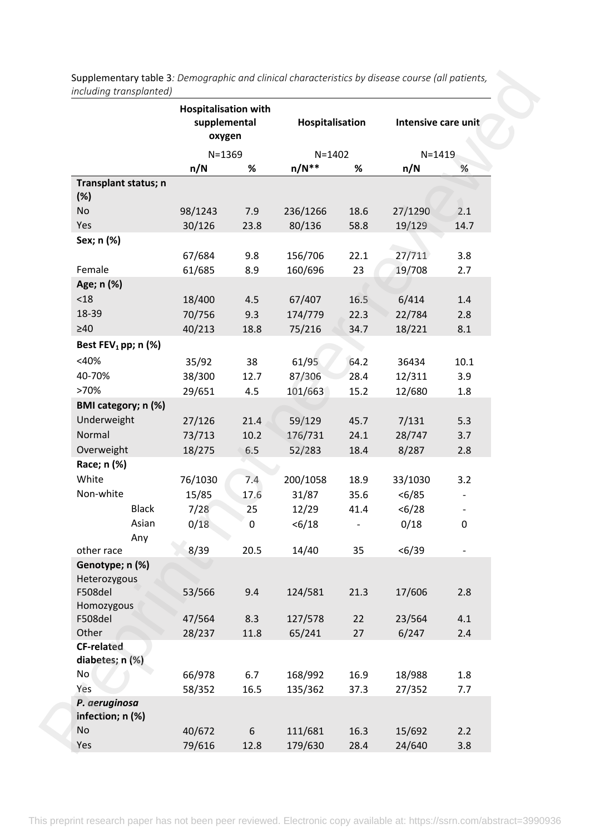|                             |         | <b>Hospitalisation with</b><br>supplemental<br>oxygen<br>$N = 1369$ |          | Hospitalisation |            | Intensive care unit |  |
|-----------------------------|---------|---------------------------------------------------------------------|----------|-----------------|------------|---------------------|--|
|                             |         |                                                                     |          | $N = 1402$      | $N = 1419$ |                     |  |
|                             | n/N     | %                                                                   | $n/N**$  | %               | n/N        | %                   |  |
| Transplant status; n<br>(%) |         |                                                                     |          |                 |            |                     |  |
| No                          | 98/1243 | 7.9                                                                 | 236/1266 | 18.6            | 27/1290    | 2.1                 |  |
| Yes                         | 30/126  | 23.8                                                                | 80/136   | 58.8            | 19/129     | 14.7                |  |
| Sex; n (%)                  |         |                                                                     |          |                 |            |                     |  |
|                             | 67/684  | 9.8                                                                 | 156/706  | 22.1            | 27/711     | 3.8                 |  |
| Female                      | 61/685  | 8.9                                                                 | 160/696  | 23              | 19/708     | 2.7                 |  |
| Age; n (%)                  |         |                                                                     |          |                 |            |                     |  |
| < 18                        | 18/400  | 4.5                                                                 | 67/407   | 16.5            | 6/414      | 1.4                 |  |
| 18-39                       | 70/756  | 9.3                                                                 | 174/779  | 22.3            | 22/784     | 2.8                 |  |
| $\geq 40$                   | 40/213  | 18.8                                                                | 75/216   | 34.7            | 18/221     | 8.1                 |  |
| Best $FEV_1$ pp; n (%)      |         |                                                                     |          |                 |            |                     |  |
| $<$ 40%                     | 35/92   | 38                                                                  | 61/95    | 64.2            | 36434      | 10.1                |  |
| 40-70%                      | 38/300  | 12.7                                                                | 87/306   | 28.4            | 12/311     | 3.9                 |  |
| >70%                        | 29/651  | 4.5                                                                 | 101/663  | 15.2            | 12/680     | 1.8                 |  |
| BMI category; n (%)         |         |                                                                     |          |                 |            |                     |  |
| Underweight                 | 27/126  | 21.4                                                                | 59/129   | 45.7            | 7/131      | 5.3                 |  |
| Normal                      | 73/713  | 10.2                                                                | 176/731  | 24.1            | 28/747     | 3.7                 |  |
| Overweight                  | 18/275  | 6.5                                                                 | 52/283   | 18.4            | 8/287      | 2.8                 |  |
| Race; n (%)                 |         |                                                                     |          |                 |            |                     |  |
| White                       | 76/1030 | 7.4                                                                 | 200/1058 | 18.9            | 33/1030    | 3.2                 |  |
| Non-white                   | 15/85   | 17.6                                                                | 31/87    | 35.6            | < 6/85     |                     |  |
| <b>Black</b>                | 7/28    | 25                                                                  | 12/29    | 41.4            | < 6/28     |                     |  |
| Asian                       | 0/18    | 0                                                                   | < 6/18   |                 | 0/18       | $\pmb{0}$           |  |
| Any                         |         |                                                                     |          |                 |            |                     |  |
| other race                  | 8/39    | 20.5                                                                | 14/40    | 35              | < 6/39     |                     |  |
| Genotype; n (%)             |         |                                                                     |          |                 |            |                     |  |
| Heterozygous                |         |                                                                     |          |                 |            |                     |  |
| F508del                     | 53/566  | 9.4                                                                 | 124/581  | 21.3            | 17/606     | 2.8                 |  |
| Homozygous                  |         |                                                                     |          |                 |            |                     |  |
| F508del                     | 47/564  | 8.3                                                                 | 127/578  | 22              | 23/564     | 4.1                 |  |
| Other                       | 28/237  | 11.8                                                                | 65/241   | 27              | 6/247      | 2.4                 |  |
| <b>CF-related</b>           |         |                                                                     |          |                 |            |                     |  |
| diabetes; n (%)<br>No       |         |                                                                     |          |                 |            |                     |  |
| Yes                         | 66/978  | 6.7                                                                 | 168/992  | 16.9            | 18/988     | 1.8                 |  |
| P. aeruginosa               | 58/352  | 16.5                                                                | 135/362  | 37.3            | 27/352     | 7.7                 |  |
| infection; n (%)            |         |                                                                     |          |                 |            |                     |  |
| No                          | 40/672  | 6                                                                   | 111/681  | 16.3            | 15/692     | 2.2                 |  |
| Yes                         | 79/616  | 12.8                                                                | 179/630  | 28.4            | 24/640     | 3.8                 |  |
|                             |         |                                                                     |          |                 |            |                     |  |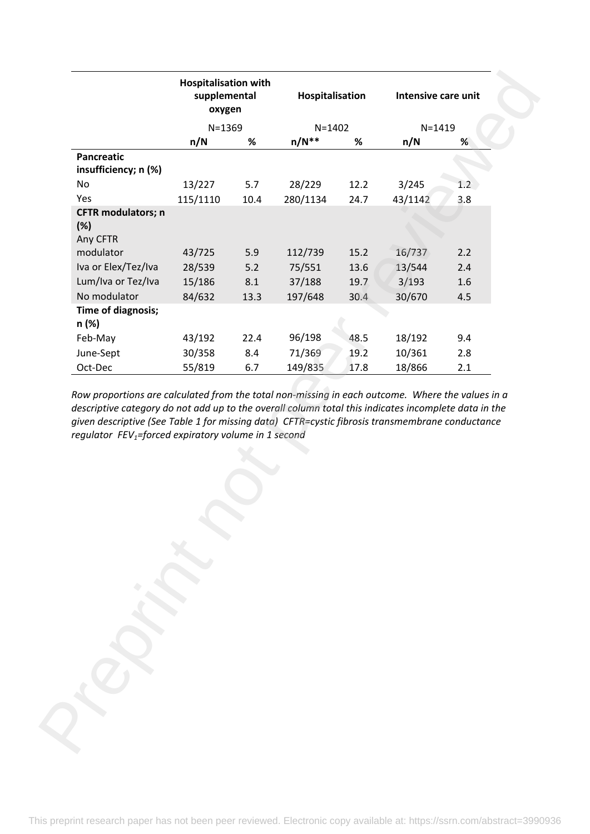| $N = 1402$<br>$N = 1419$<br>$N = 1369$<br>$n/N**$<br>$\%$<br>n/N<br>n/N<br>%<br>%<br><b>Pancreatic</b><br>insufficiency; n (%)<br>13/227<br>28/229<br>3/245<br>No<br>12.2<br>5.7<br>$1.2^{\circ}$<br>Yes<br>3.8<br>115/1110<br>280/1134<br>24.7<br>43/1142<br>10.4<br><b>CFTR</b> modulators; n<br>(%)<br>Any CFTR<br>modulator<br>5.9<br>112/739<br>15.2<br>16/737<br>2.2<br>43/725<br>Iva or Elex/Tez/Iva<br>75/551<br>28/539<br>5.2<br>13.6<br>13/544<br>2.4<br>Lum/Iva or Tez/Iva<br>15/186<br>8.1<br>37/188<br>19.7<br>3/193<br>1.6<br>No modulator<br>84/632<br>13.3<br>197/648<br>30.4<br>30/670<br>4.5<br>Time of diagnosis;<br>n (%)<br>96/198<br>43/192<br>22.4<br>48.5<br>18/192<br>9.4<br>Feb-May<br>30/358<br>8.4<br>71/369<br>19.2<br>10/361<br>June-Sept<br>2.8<br>6.7<br>Oct-Dec<br>55/819<br>149/835<br>17.8<br>18/866<br>2.1<br>Row proportions are calculated from the total non-missing in each outcome. Where the values in a<br>descriptive category do not add up to the overall column total this indicates incomplete data in the<br>given descriptive (See Table 1 for missing data) CFTR=cystic fibrosis transmembrane conductance |
|---------------------------------------------------------------------------------------------------------------------------------------------------------------------------------------------------------------------------------------------------------------------------------------------------------------------------------------------------------------------------------------------------------------------------------------------------------------------------------------------------------------------------------------------------------------------------------------------------------------------------------------------------------------------------------------------------------------------------------------------------------------------------------------------------------------------------------------------------------------------------------------------------------------------------------------------------------------------------------------------------------------------------------------------------------------------------------------------------------------------------------------------------------------|
|                                                                                                                                                                                                                                                                                                                                                                                                                                                                                                                                                                                                                                                                                                                                                                                                                                                                                                                                                                                                                                                                                                                                                               |
|                                                                                                                                                                                                                                                                                                                                                                                                                                                                                                                                                                                                                                                                                                                                                                                                                                                                                                                                                                                                                                                                                                                                                               |
|                                                                                                                                                                                                                                                                                                                                                                                                                                                                                                                                                                                                                                                                                                                                                                                                                                                                                                                                                                                                                                                                                                                                                               |
|                                                                                                                                                                                                                                                                                                                                                                                                                                                                                                                                                                                                                                                                                                                                                                                                                                                                                                                                                                                                                                                                                                                                                               |
|                                                                                                                                                                                                                                                                                                                                                                                                                                                                                                                                                                                                                                                                                                                                                                                                                                                                                                                                                                                                                                                                                                                                                               |
|                                                                                                                                                                                                                                                                                                                                                                                                                                                                                                                                                                                                                                                                                                                                                                                                                                                                                                                                                                                                                                                                                                                                                               |
|                                                                                                                                                                                                                                                                                                                                                                                                                                                                                                                                                                                                                                                                                                                                                                                                                                                                                                                                                                                                                                                                                                                                                               |
|                                                                                                                                                                                                                                                                                                                                                                                                                                                                                                                                                                                                                                                                                                                                                                                                                                                                                                                                                                                                                                                                                                                                                               |
|                                                                                                                                                                                                                                                                                                                                                                                                                                                                                                                                                                                                                                                                                                                                                                                                                                                                                                                                                                                                                                                                                                                                                               |
|                                                                                                                                                                                                                                                                                                                                                                                                                                                                                                                                                                                                                                                                                                                                                                                                                                                                                                                                                                                                                                                                                                                                                               |
|                                                                                                                                                                                                                                                                                                                                                                                                                                                                                                                                                                                                                                                                                                                                                                                                                                                                                                                                                                                                                                                                                                                                                               |
|                                                                                                                                                                                                                                                                                                                                                                                                                                                                                                                                                                                                                                                                                                                                                                                                                                                                                                                                                                                                                                                                                                                                                               |
|                                                                                                                                                                                                                                                                                                                                                                                                                                                                                                                                                                                                                                                                                                                                                                                                                                                                                                                                                                                                                                                                                                                                                               |
|                                                                                                                                                                                                                                                                                                                                                                                                                                                                                                                                                                                                                                                                                                                                                                                                                                                                                                                                                                                                                                                                                                                                                               |
|                                                                                                                                                                                                                                                                                                                                                                                                                                                                                                                                                                                                                                                                                                                                                                                                                                                                                                                                                                                                                                                                                                                                                               |
|                                                                                                                                                                                                                                                                                                                                                                                                                                                                                                                                                                                                                                                                                                                                                                                                                                                                                                                                                                                                                                                                                                                                                               |
|                                                                                                                                                                                                                                                                                                                                                                                                                                                                                                                                                                                                                                                                                                                                                                                                                                                                                                                                                                                                                                                                                                                                                               |
| regulator FEV <sub>1</sub> =forced expiratory volume in 1 second                                                                                                                                                                                                                                                                                                                                                                                                                                                                                                                                                                                                                                                                                                                                                                                                                                                                                                                                                                                                                                                                                              |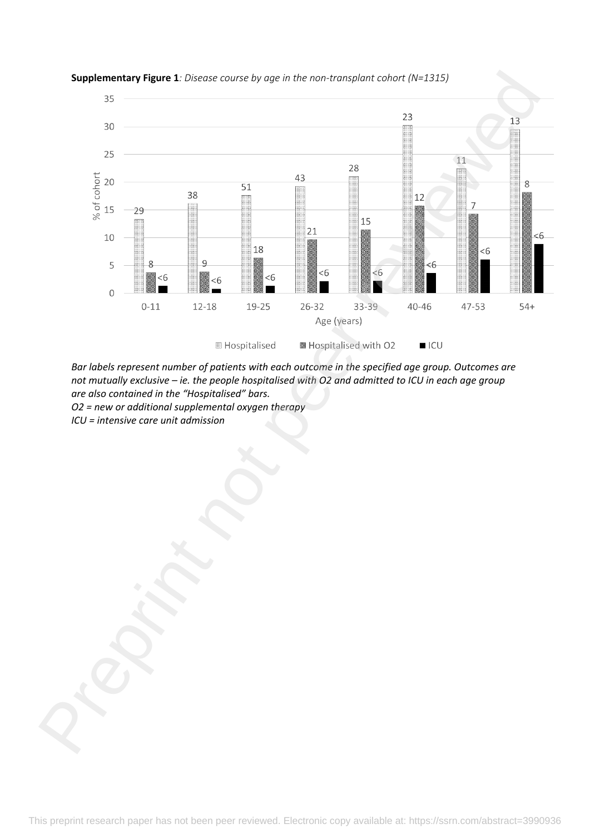

## **Supplementary Figure 1***: Disease course by age in the non-transplant cohort (N=1315)*

*Bar labels represent number of patients with each outcome in the specified age group. Outcomes are not mutually exclusive – ie. the people hospitalised with O2 and admitted to ICU in each age group are also contained in the "Hospitalised" bars. O2 = new or additional supplemental oxygen therapy*

*ICU = intensive care unit admission*

This preprint research paper has not been peer reviewed. Electronic copy available at: https://ssrn.com/abstract=3990936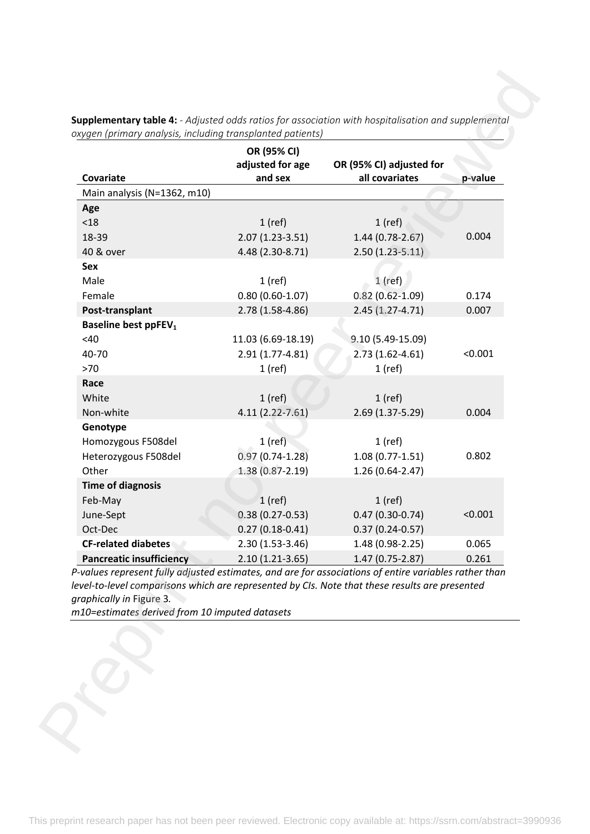| Covariate                                                                                                                                                                                                                                                                             | OR (95% CI)<br>adjusted for age<br>and sex | OR (95% CI) adjusted for<br>all covariates | p-value |
|---------------------------------------------------------------------------------------------------------------------------------------------------------------------------------------------------------------------------------------------------------------------------------------|--------------------------------------------|--------------------------------------------|---------|
| Main analysis (N=1362, m10)                                                                                                                                                                                                                                                           |                                            |                                            |         |
| Age                                                                                                                                                                                                                                                                                   |                                            |                                            |         |
| < 18                                                                                                                                                                                                                                                                                  | $1$ (ref)                                  | $1$ (ref)                                  |         |
| 18-39                                                                                                                                                                                                                                                                                 | $2.07(1.23-3.51)$                          | 1.44 (0.78-2.67)                           | 0.004   |
| 40 & over                                                                                                                                                                                                                                                                             | 4.48 (2.30-8.71)                           | $2.50(1.23 - 5.11)$                        |         |
| Sex                                                                                                                                                                                                                                                                                   |                                            |                                            |         |
| Male                                                                                                                                                                                                                                                                                  | $1$ (ref)                                  | $1$ (ref)                                  |         |
| Female                                                                                                                                                                                                                                                                                | $0.80(0.60-1.07)$                          | $0.82(0.62 - 1.09)$                        | 0.174   |
| Post-transplant                                                                                                                                                                                                                                                                       | 2.78 (1.58-4.86)                           | $2.45(1.27-4.71)$                          | 0.007   |
| <b>Baseline best ppFEV<sub>1</sub></b>                                                                                                                                                                                                                                                |                                            |                                            |         |
| <40                                                                                                                                                                                                                                                                                   | 11.03 (6.69-18.19)                         | $9.10(5.49 - 15.09)$                       |         |
| 40-70                                                                                                                                                                                                                                                                                 | 2.91 (1.77-4.81)                           | $2.73(1.62 - 4.61)$                        | < 0.001 |
| $>70$                                                                                                                                                                                                                                                                                 | $1$ (ref)                                  | $1$ (ref)                                  |         |
| Race                                                                                                                                                                                                                                                                                  |                                            |                                            |         |
| White                                                                                                                                                                                                                                                                                 | $1$ (ref)                                  | $1$ (ref)                                  |         |
| Non-white                                                                                                                                                                                                                                                                             | 4.11 (2.22-7.61)                           | 2.69 (1.37-5.29)                           | 0.004   |
| Genotype                                                                                                                                                                                                                                                                              |                                            |                                            |         |
| Homozygous F508del<br>Heterozygous F508del                                                                                                                                                                                                                                            | $1$ (ref)<br>$0.97(0.74-1.28)$             | $1$ (ref)<br>$1.08(0.77-1.51)$             | 0.802   |
| Other                                                                                                                                                                                                                                                                                 | $1.38(0.87 - 2.19)$                        | $1.26(0.64 - 2.47)$                        |         |
| <b>Time of diagnosis</b>                                                                                                                                                                                                                                                              |                                            |                                            |         |
| Feb-May                                                                                                                                                                                                                                                                               | $1$ (ref)                                  | $1$ (ref)                                  |         |
| June-Sept                                                                                                                                                                                                                                                                             | $0.38(0.27 - 0.53)$                        | $0.47(0.30-0.74)$                          | < 0.001 |
| Oct-Dec                                                                                                                                                                                                                                                                               | $0.27(0.18-0.41)$                          | $0.37(0.24 - 0.57)$                        |         |
| <b>CF-related diabetes</b>                                                                                                                                                                                                                                                            | 2.30 (1.53-3.46)                           | 1.48 (0.98-2.25)                           | 0.065   |
| <b>Pancreatic insufficiency</b>                                                                                                                                                                                                                                                       | $2.10(1.21-3.65)$                          | 1.47 (0.75-2.87)                           | 0.261   |
| P-values represent fully adjusted estimates, and are for associations of entire variables rather than<br>level-to-level comparisons which are represented by CIs. Note that these results are presented<br>graphically in Figure 3.<br>m10=estimates derived from 10 imputed datasets |                                            |                                            |         |
|                                                                                                                                                                                                                                                                                       |                                            |                                            |         |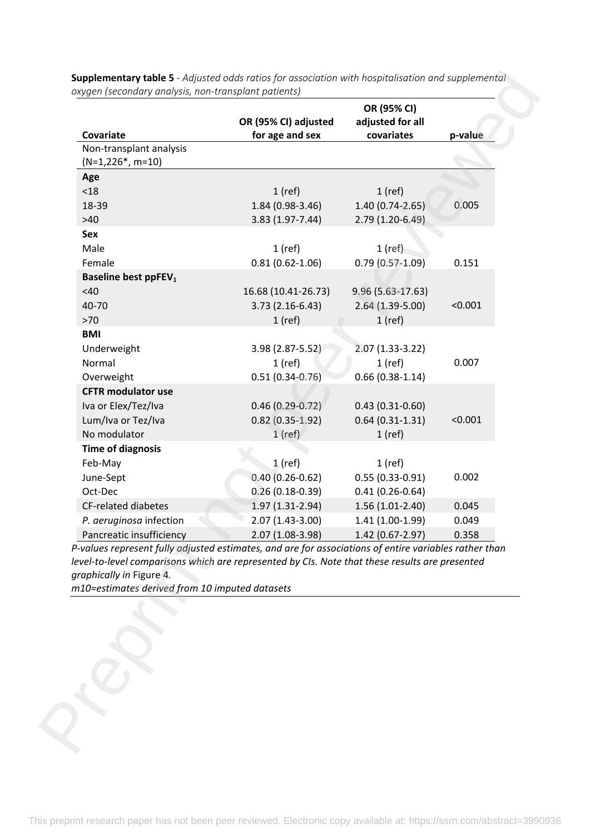| Covariate                                                                                                                                                                                                                                                                             | OR (95% CI) adjusted<br>for age and sex | OR (95% CI)<br>adjusted for all<br>covariates | p-value |
|---------------------------------------------------------------------------------------------------------------------------------------------------------------------------------------------------------------------------------------------------------------------------------------|-----------------------------------------|-----------------------------------------------|---------|
| Non-transplant analysis                                                                                                                                                                                                                                                               |                                         |                                               |         |
| $(N=1,226^*, m=10)$                                                                                                                                                                                                                                                                   |                                         |                                               |         |
| Age                                                                                                                                                                                                                                                                                   |                                         |                                               |         |
| < 18                                                                                                                                                                                                                                                                                  | $1$ (ref)                               | $1$ (ref)                                     |         |
| 18-39                                                                                                                                                                                                                                                                                 | 1.84 (0.98-3.46)                        | 1.40 (0.74-2.65)                              | 0.005   |
| $>40$                                                                                                                                                                                                                                                                                 | 3.83 (1.97-7.44)                        | 2.79 (1.20-6.49)                              |         |
| Sex                                                                                                                                                                                                                                                                                   |                                         |                                               |         |
| Male                                                                                                                                                                                                                                                                                  | $1$ (ref)                               | $1$ (ref)                                     |         |
| Female                                                                                                                                                                                                                                                                                | $0.81(0.62 - 1.06)$                     | $0.79(0.57-1.09)$                             | 0.151   |
| <b>Baseline best ppFEV<sub>1</sub></b>                                                                                                                                                                                                                                                |                                         |                                               |         |
| <40                                                                                                                                                                                                                                                                                   | 16.68 (10.41-26.73)                     | $9.96(5.63-17.63)$                            |         |
| 40-70                                                                                                                                                                                                                                                                                 | $3.73(2.16-6.43)$                       | 2.64 (1.39-5.00)                              | < 0.001 |
| $>70$                                                                                                                                                                                                                                                                                 | $1$ (ref)                               | $1$ (ref)                                     |         |
| <b>BMI</b>                                                                                                                                                                                                                                                                            |                                         |                                               |         |
| Underweight                                                                                                                                                                                                                                                                           | 3.98 (2.87-5.52)                        | $2.07(1.33-3.22)$                             |         |
| Normal                                                                                                                                                                                                                                                                                | $1$ (ref)                               | $1$ (ref)                                     | 0.007   |
| Overweight                                                                                                                                                                                                                                                                            | $0.51(0.34 - 0.76)$                     | $0.66(0.38-1.14)$                             |         |
| <b>CFTR modulator use</b>                                                                                                                                                                                                                                                             |                                         |                                               |         |
| Iva or Elex/Tez/Iva                                                                                                                                                                                                                                                                   | $0.46(0.29 - 0.72)$                     | $0.43(0.31-0.60)$                             |         |
| Lum/Iva or Tez/Iva                                                                                                                                                                                                                                                                    | $0.82(0.35-1.92)$                       | $0.64(0.31-1.31)$                             | < 0.001 |
| No modulator                                                                                                                                                                                                                                                                          | $1$ (ref)                               | $1$ (ref)                                     |         |
| <b>Time of diagnosis</b>                                                                                                                                                                                                                                                              |                                         |                                               |         |
| Feb-May                                                                                                                                                                                                                                                                               | $1$ (ref)                               | $1$ (ref)                                     |         |
| June-Sept                                                                                                                                                                                                                                                                             | $0.40(0.26 - 0.62)$                     | $0.55(0.33 - 0.91)$                           | 0.002   |
| Oct-Dec                                                                                                                                                                                                                                                                               | $0.26(0.18-0.39)$                       | $0.41(0.26 - 0.64)$                           |         |
| <b>CF-related diabetes</b>                                                                                                                                                                                                                                                            | 1.97 (1.31-2.94)                        | 1.56 (1.01-2.40)                              | 0.045   |
| P. aeruginosa infection                                                                                                                                                                                                                                                               | 2.07 (1.43-3.00)                        | 1.41 (1.00-1.99)                              | 0.049   |
| Pancreatic insufficiency                                                                                                                                                                                                                                                              | 2.07 (1.08-3.98)                        | 1.42 (0.67-2.97)                              | 0.358   |
| P-values represent fully adjusted estimates, and are for associations of entire variables rather than<br>level-to-level comparisons which are represented by CIs. Note that these results are presented<br>graphically in Figure 4.<br>m10=estimates derived from 10 imputed datasets |                                         |                                               |         |
|                                                                                                                                                                                                                                                                                       |                                         |                                               |         |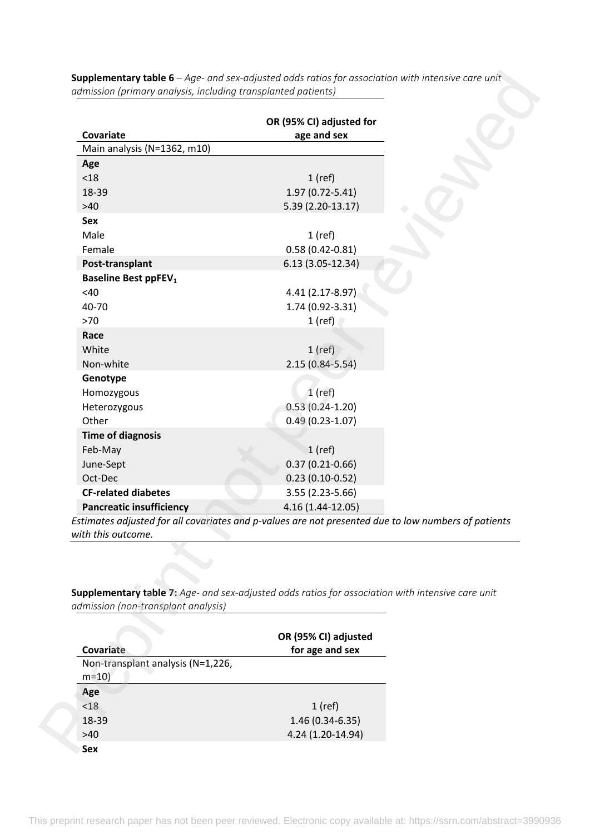|                                               | OR (95% CI) adjusted for                                                                            |  |
|-----------------------------------------------|-----------------------------------------------------------------------------------------------------|--|
| Covariate                                     | age and sex                                                                                         |  |
| Main analysis (N=1362, m10)                   |                                                                                                     |  |
| Age                                           |                                                                                                     |  |
| < 18                                          | $1$ (ref)                                                                                           |  |
| 18-39                                         | 1.97 (0.72-5.41)                                                                                    |  |
| $>40$                                         | 5.39 (2.20-13.17)                                                                                   |  |
| Sex                                           |                                                                                                     |  |
| Male                                          | $1$ (ref)                                                                                           |  |
| Female                                        | $0.58(0.42 - 0.81)$                                                                                 |  |
| Post-transplant                               | $6.13(3.05-12.34)$                                                                                  |  |
| <b>Baseline Best ppFEV<sub>1</sub></b>        |                                                                                                     |  |
| <40                                           | 4.41 (2.17-8.97)                                                                                    |  |
| 40-70                                         | 1.74 (0.92-3.31)                                                                                    |  |
| $>70$                                         | $1$ (ref)                                                                                           |  |
| Race                                          |                                                                                                     |  |
| White                                         | $1$ (ref)                                                                                           |  |
| Non-white                                     | $2.15(0.84 - 5.54)$                                                                                 |  |
| Genotype                                      |                                                                                                     |  |
|                                               | $1$ (ref)                                                                                           |  |
| Homozygous                                    | $0.53(0.24-1.20)$                                                                                   |  |
| Heterozygous<br>Other                         |                                                                                                     |  |
|                                               | $0.49(0.23-1.07)$                                                                                   |  |
| <b>Time of diagnosis</b>                      |                                                                                                     |  |
| Feb-May                                       | $1$ (ref)                                                                                           |  |
| June-Sept                                     | $0.37(0.21 - 0.66)$                                                                                 |  |
| Oct-Dec                                       | $0.23(0.10-0.52)$                                                                                   |  |
| <b>CF-related diabetes</b>                    | 3.55 (2.23-5.66)                                                                                    |  |
| <b>Pancreatic insufficiency</b>               | 4.16 (1.44-12.05)                                                                                   |  |
|                                               | Estimates adjusted for all covariates and p-values are not presented due to low numbers of patients |  |
| with this outcome.                            |                                                                                                     |  |
|                                               |                                                                                                     |  |
|                                               |                                                                                                     |  |
|                                               |                                                                                                     |  |
|                                               | Supplementary table 7: Age- and sex-adjusted odds ratios for association with intensive care unit   |  |
| admission (non-transplant analysis)           |                                                                                                     |  |
|                                               |                                                                                                     |  |
|                                               | OR (95% CI) adjusted                                                                                |  |
| Covariate                                     | for age and sex                                                                                     |  |
| Non-transplant analysis (N=1,226,<br>$m=10$ ) |                                                                                                     |  |
| Age                                           |                                                                                                     |  |
| < 18                                          | $1$ (ref)                                                                                           |  |
| 18-39                                         | $1.46(0.34 - 6.35)$                                                                                 |  |
|                                               |                                                                                                     |  |
| $>40$                                         | 4.24 (1.20-14.94)                                                                                   |  |

| Covariate                         | OR (95% CI) adjusted<br>for age and sex |  |
|-----------------------------------|-----------------------------------------|--|
| Non-transplant analysis (N=1,226, |                                         |  |
| $m=10$ )                          |                                         |  |
| Age                               |                                         |  |
| < 18                              | $1$ (ref)                               |  |
| 18-39                             | $1.46(0.34 - 6.35)$                     |  |
| >40                               | 4.24 (1.20-14.94)                       |  |
| Sex                               |                                         |  |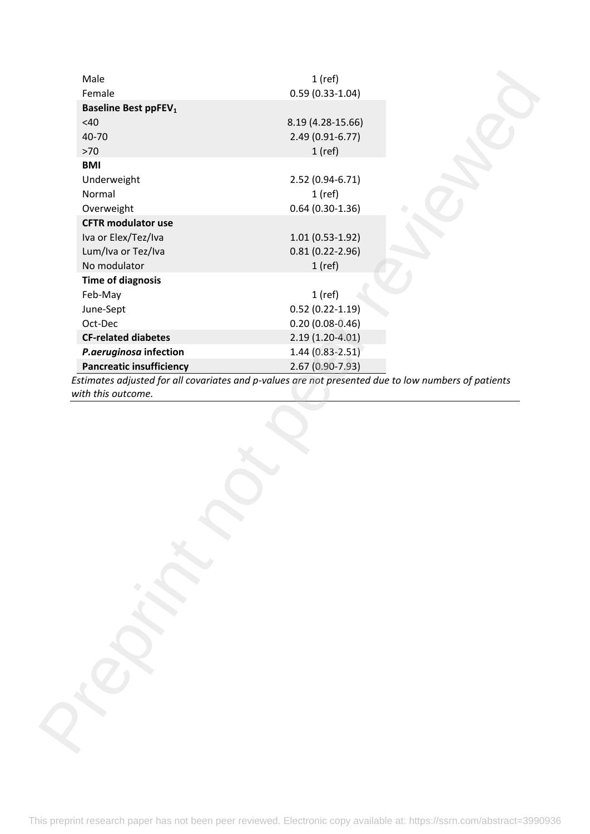| Female<br><b>Baseline Best ppFEV<sub>1</sub></b> | $0.59(0.33-1.04)$                                                                                   |  |
|--------------------------------------------------|-----------------------------------------------------------------------------------------------------|--|
| $<$ 40 $\,$                                      | 8.19 (4.28-15.66)                                                                                   |  |
|                                                  |                                                                                                     |  |
| 40-70                                            | 2.49 (0.91-6.77)                                                                                    |  |
| $>70$<br><b>BMI</b>                              | $1$ (ref)                                                                                           |  |
|                                                  |                                                                                                     |  |
| Underweight                                      | 2.52 (0.94-6.71)                                                                                    |  |
| Normal                                           | $1$ (ref)                                                                                           |  |
| Overweight                                       | $0.64(0.30-1.36)$                                                                                   |  |
| <b>CFTR modulator use</b>                        |                                                                                                     |  |
| Iva or Elex/Tez/Iva                              | $1.01(0.53-1.92)$                                                                                   |  |
| Lum/Iva or Tez/Iva                               | $0.81(0.22 - 2.96)$                                                                                 |  |
| No modulator                                     | $1$ (ref)                                                                                           |  |
| <b>Time of diagnosis</b>                         |                                                                                                     |  |
| Feb-May                                          | $1$ (ref)                                                                                           |  |
| June-Sept                                        | $0.52(0.22-1.19)$                                                                                   |  |
| Oct-Dec                                          | $0.20(0.08 - 0.46)$                                                                                 |  |
| <b>CF-related diabetes</b>                       | $2.19(1.20-4.01)$                                                                                   |  |
| P.aeruginosa infection                           | $1.44(0.83 - 2.51)$                                                                                 |  |
| <b>Pancreatic insufficiency</b>                  | 2.67 (0.90-7.93)                                                                                    |  |
|                                                  | Estimates adjusted for all covariates and p-values are not presented due to low numbers of patients |  |
|                                                  |                                                                                                     |  |
|                                                  |                                                                                                     |  |
|                                                  |                                                                                                     |  |
|                                                  |                                                                                                     |  |
|                                                  |                                                                                                     |  |
|                                                  |                                                                                                     |  |
| with this outcome.                               |                                                                                                     |  |
|                                                  |                                                                                                     |  |
|                                                  |                                                                                                     |  |
|                                                  |                                                                                                     |  |
|                                                  |                                                                                                     |  |
|                                                  |                                                                                                     |  |
|                                                  |                                                                                                     |  |
|                                                  |                                                                                                     |  |
|                                                  |                                                                                                     |  |
|                                                  |                                                                                                     |  |
|                                                  |                                                                                                     |  |
|                                                  |                                                                                                     |  |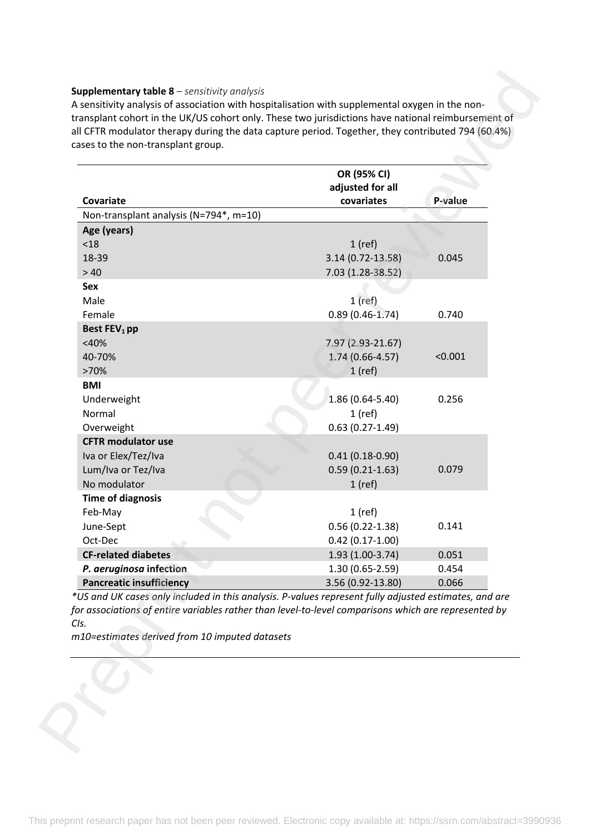#### **Supplementary table 8** *– sensitivity analysis*

|                                                                                                                                                                                                                                                                         | OR (95% CI)<br>adjusted for all |         |
|-------------------------------------------------------------------------------------------------------------------------------------------------------------------------------------------------------------------------------------------------------------------------|---------------------------------|---------|
| Covariate<br>Non-transplant analysis (N=794*, m=10)                                                                                                                                                                                                                     | covariates                      | P-value |
| Age (years)                                                                                                                                                                                                                                                             |                                 |         |
| < 18                                                                                                                                                                                                                                                                    | $1$ (ref)                       |         |
| 18-39                                                                                                                                                                                                                                                                   | 3.14 (0.72-13.58)               | 0.045   |
| >40                                                                                                                                                                                                                                                                     | 7.03 (1.28-38.52)               |         |
| Sex                                                                                                                                                                                                                                                                     |                                 |         |
| Male                                                                                                                                                                                                                                                                    | $1$ (ref)                       |         |
| Female                                                                                                                                                                                                                                                                  | $0.89(0.46-1.74)$               | 0.740   |
| Best FEV <sub>1</sub> pp                                                                                                                                                                                                                                                |                                 |         |
| $<$ 40%                                                                                                                                                                                                                                                                 | 7.97 (2.93-21.67)               |         |
| 40-70%                                                                                                                                                                                                                                                                  | $1.74(0.66 - 4.57)$             | < 0.001 |
| >70%                                                                                                                                                                                                                                                                    | $1$ (ref)                       |         |
| <b>BMI</b>                                                                                                                                                                                                                                                              |                                 |         |
| Underweight                                                                                                                                                                                                                                                             | $1.86(0.64 - 5.40)$             | 0.256   |
| Normal                                                                                                                                                                                                                                                                  | $1$ (ref)                       |         |
| Overweight                                                                                                                                                                                                                                                              | $0.63(0.27-1.49)$               |         |
| <b>CFTR modulator use</b>                                                                                                                                                                                                                                               |                                 |         |
| Iva or Elex/Tez/Iva                                                                                                                                                                                                                                                     | $0.41(0.18-0.90)$               |         |
| Lum/Iva or Tez/Iva                                                                                                                                                                                                                                                      | $0.59(0.21-1.63)$               | 0.079   |
| No modulator<br><b>Time of diagnosis</b>                                                                                                                                                                                                                                | $1$ (ref)                       |         |
| Feb-May                                                                                                                                                                                                                                                                 | $1$ (ref)                       |         |
| June-Sept                                                                                                                                                                                                                                                               | $0.56(0.22 - 1.38)$             | 0.141   |
| Oct-Dec                                                                                                                                                                                                                                                                 | $0.42(0.17-1.00)$               |         |
| <b>CF-related diabetes</b>                                                                                                                                                                                                                                              | 1.93 (1.00-3.74)                | 0.051   |
| P. aeruginosa infection                                                                                                                                                                                                                                                 | $1.30(0.65-2.59)$               | 0.454   |
| <b>Pancreatic insufficiency</b>                                                                                                                                                                                                                                         | 3.56 (0.92-13.80)               | 0.066   |
| *US and UK cases only included in this analysis. P-values represent fully adjusted estimates, and are<br>for associations of entire variables rather than level-to-level comparisons which are represented by<br>CIs.<br>m10=estimates derived from 10 imputed datasets |                                 |         |